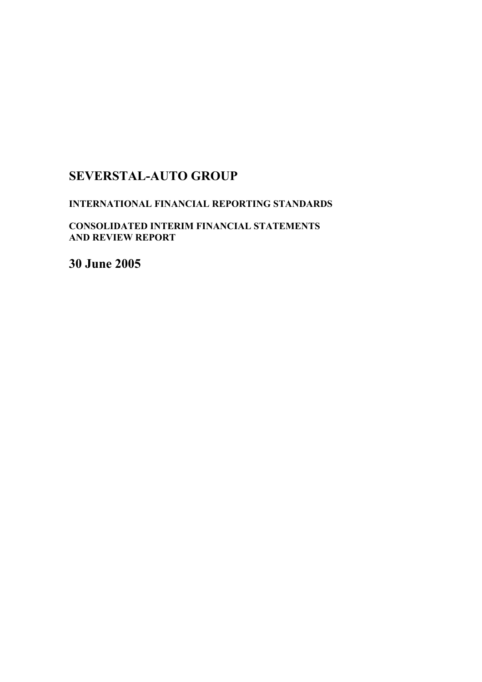# **SEVERSTAL-AUTO GROUP**

# **INTERNATIONAL FINANCIAL REPORTING STANDARDS**

**CONSOLIDATED INTERIM FINANCIAL STATEMENTS AND REVIEW REPORT** 

**30 June 2005**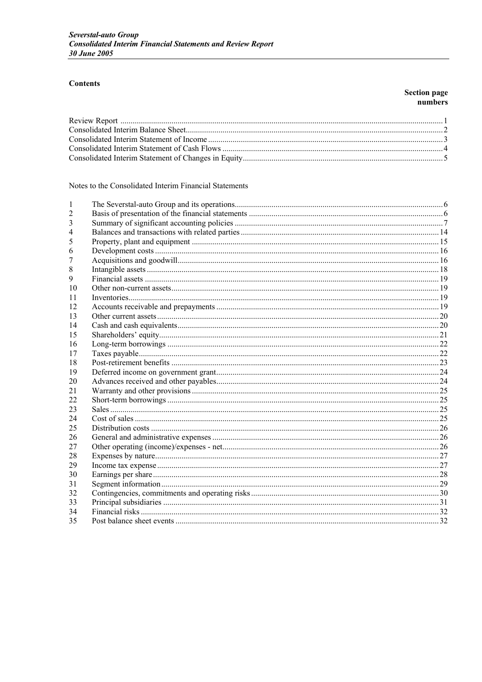# **Contents**

# **Section page<br>numbers**

Notes to the Consolidated Interim Financial Statements

| 1  |  |
|----|--|
|    |  |
|    |  |
|    |  |
|    |  |
| 6  |  |
|    |  |
| 8  |  |
| 9  |  |
| 10 |  |
| 11 |  |
| 12 |  |
| 13 |  |
| 14 |  |
| 15 |  |
| 16 |  |
| 17 |  |
| 18 |  |
| 19 |  |
| 20 |  |
| 21 |  |
| 22 |  |
| 23 |  |
| 24 |  |
| 25 |  |
| 26 |  |
| 27 |  |
| 28 |  |
| 29 |  |
| 30 |  |
| 31 |  |
| 32 |  |
| 33 |  |
| 34 |  |
| 35 |  |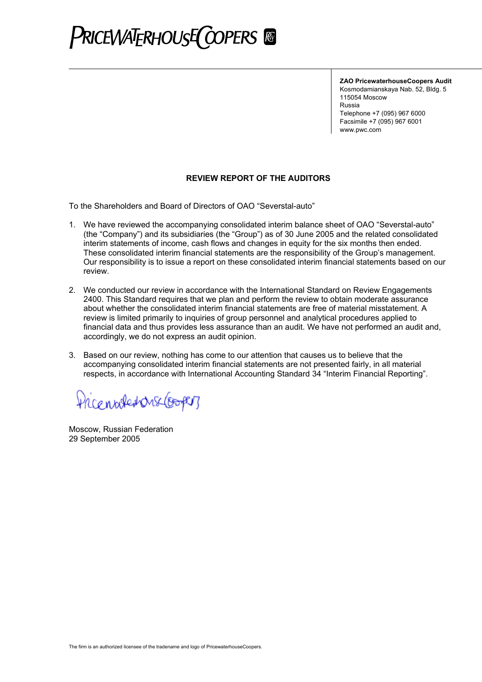

**ZAO PricewaterhouseCoopers Audit**

Kosmodamianskaya Nab. 52, Bldg. 5 115054 Moscow Russia Telephone +7 (095) 967 6000 Facsimile +7 (095) 967 6001 www.pwc.com

# **REVIEW REPORT OF THE AUDITORS**

To the Shareholders and Board of Directors of OAO "Severstal-auto"

- 1. We have reviewed the accompanying consolidated interim balance sheet of OAO "Severstal-auto" (the "Company") and its subsidiaries (the "Group") as of 30 June 2005 and the related consolidated interim statements of income, cash flows and changes in equity for the six months then ended. These consolidated interim financial statements are the responsibility of the Group's management. Our responsibility is to issue a report on these consolidated interim financial statements based on our review.
- 2. We conducted our review in accordance with the International Standard on Review Engagements 2400. This Standard requires that we plan and perform the review to obtain moderate assurance about whether the consolidated interim financial statements are free of material misstatement. A review is limited primarily to inquiries of group personnel and analytical procedures applied to financial data and thus provides less assurance than an audit. We have not performed an audit and, accordingly, we do not express an audit opinion.
- 3. Based on our review, nothing has come to our attention that causes us to believe that the accompanying consolidated interim financial statements are not presented fairly, in all material respects, in accordance with International Accounting Standard 34 "Interim Financial Reporting".

Pricented onselector

Moscow, Russian Federation 29 September 2005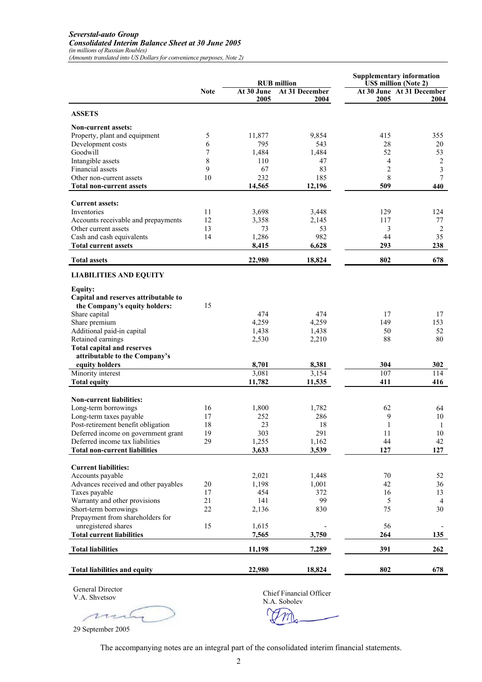### *Severstal-auto Group Consolidated Interim Balance Sheet at 30 June 2005 (in millions of Russian Roubles)*

*(Amounts translated into US Dollars for convenience purposes, Note 2)*

|                                                                           |                  | <b>RUB</b> million |                        |                   | <b>Supplementary information</b><br><b>US\$</b> million (Note 2) |
|---------------------------------------------------------------------------|------------------|--------------------|------------------------|-------------------|------------------------------------------------------------------|
|                                                                           | <b>Note</b>      | At 30 June<br>2005 | At 31 December<br>2004 | 2005              | At 30 June At 31 December<br>2004                                |
| <b>ASSETS</b>                                                             |                  |                    |                        |                   |                                                                  |
| <b>Non-current assets:</b>                                                |                  |                    |                        |                   |                                                                  |
| Property, plant and equipment                                             | 5                | 11,877             | 9,854                  | 415               | 355                                                              |
| Development costs                                                         | 6                | 795                | 543                    | 28                | 20                                                               |
| Goodwill<br>Intangible assets                                             | 7<br>$\,$ 8 $\,$ | 1,484<br>110       | 1.484<br>47            | 52                | 53                                                               |
| <b>Financial</b> assets                                                   | 9                | 67                 | 83                     | 4<br>2            | $\overline{c}$<br>3                                              |
| Other non-current assets                                                  | 10               | 232                | 185                    | 8                 | 7                                                                |
| <b>Total non-current assets</b>                                           |                  | 14,565             | 12,196                 | 509               | 440                                                              |
|                                                                           |                  |                    |                        |                   |                                                                  |
| <b>Current assets:</b>                                                    |                  |                    |                        |                   |                                                                  |
| Inventories                                                               | 11               | 3,698              | 3,448                  | 129               | 124                                                              |
| Accounts receivable and prepayments<br>Other current assets               | 12<br>13         | 3,358<br>73        | 2,145<br>53            | 117<br>3          | 77<br>$\overline{c}$                                             |
| Cash and cash equivalents                                                 | 14               | 1,286              | 982                    | 44                | 35                                                               |
| <b>Total current assets</b>                                               |                  | 8,415              | 6,628                  | 293               | 238                                                              |
| <b>Total assets</b>                                                       |                  | 22,980             | 18,824                 | 802               | 678                                                              |
| <b>LIABILITIES AND EQUITY</b>                                             |                  |                    |                        |                   |                                                                  |
| <b>Equity:</b>                                                            |                  |                    |                        |                   |                                                                  |
| Capital and reserves attributable to                                      |                  |                    |                        |                   |                                                                  |
| the Company's equity holders:                                             | 15               |                    |                        |                   |                                                                  |
| Share capital                                                             |                  | 474                | 474                    | 17                | 17                                                               |
| Share premium                                                             |                  | 4,259              | 4,259                  | 149               | 153                                                              |
| Additional paid-in capital                                                |                  | 1,438              | 1,438                  | 50                | 52                                                               |
| Retained earnings                                                         |                  | 2,530              | 2,210                  | 88                | 80                                                               |
| <b>Total capital and reserves</b>                                         |                  |                    |                        |                   |                                                                  |
| attributable to the Company's                                             |                  |                    |                        |                   |                                                                  |
| equity holders<br>Minority interest                                       |                  | 8,701<br>3,081     | 8,381<br>3,154         | 304<br>107        | 302<br>114                                                       |
| <b>Total equity</b>                                                       |                  | 11,782             | 11,535                 | 411               | 416                                                              |
|                                                                           |                  |                    |                        |                   |                                                                  |
| <b>Non-current liabilities:</b>                                           |                  |                    |                        |                   |                                                                  |
| Long-term borrowings                                                      | 16               | 1,800              | 1,782                  | 62                | 64                                                               |
| Long-term taxes payable                                                   | 17               | 252                | 286                    | 9<br>$\mathbf{1}$ | 10                                                               |
| Post-retirement benefit obligation<br>Deferred income on government grant | 18<br>19         | 23<br>303          | 18<br>291              | 11                | 1<br>$10\,$                                                      |
| Deferred income tax liabilities                                           | 29               | 1,255              | 1,162                  | 44                | 42                                                               |
| <b>Total non-current liabilities</b>                                      |                  | 3,633              | 3,539                  | 127               | 127                                                              |
|                                                                           |                  |                    |                        |                   |                                                                  |
| <b>Current liabilities:</b>                                               |                  |                    |                        |                   |                                                                  |
| Accounts payable<br>Advances received and other payables                  | 20               | 2,021<br>1,198     | 1,448<br>1,001         | 70<br>42          | 52<br>36                                                         |
| Taxes payable                                                             | 17               | 454                | 372                    | 16                | 13                                                               |
| Warranty and other provisions                                             | 21               | 141                | 99                     | 5                 | 4                                                                |
| Short-term borrowings                                                     | 22               | 2,136              | 830                    | 75                | 30                                                               |
| Prepayment from shareholders for                                          |                  |                    |                        |                   |                                                                  |
| unregistered shares                                                       | 15               | 1,615              |                        | 56                |                                                                  |
| <b>Total current liabilities</b>                                          |                  | 7,565              | 3,750                  | 264               | 135                                                              |
| <b>Total liabilities</b>                                                  |                  | 11,198             | 7,289                  | 391               | 262                                                              |
| <b>Total liabilities and equity</b>                                       |                  | 22,980             | 18,824                 | 802               | 678                                                              |
|                                                                           |                  |                    |                        |                   |                                                                  |

General Director V.A. Shvetsov

m

Chief Financial Officer

N.A. Sobolev

29 September 2005

The accompanying notes are an integral part of the consolidated interim financial statements.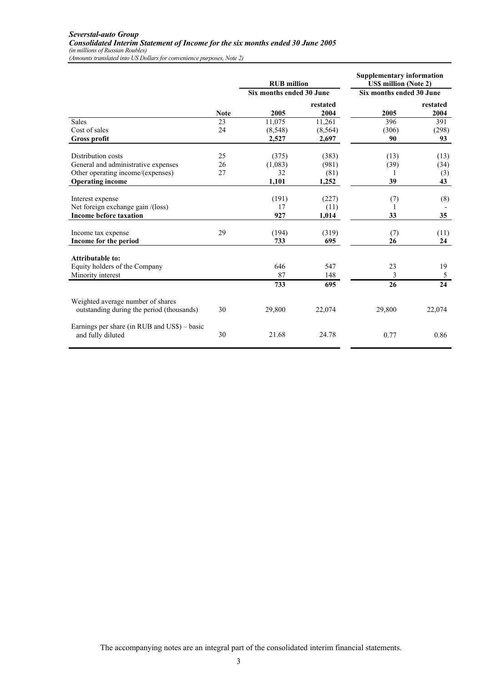|                                                                                |             | <b>RUB</b> million       |                  | <b>Supplementary information</b><br><b>US\$</b> million (Note 2) |                  |
|--------------------------------------------------------------------------------|-------------|--------------------------|------------------|------------------------------------------------------------------|------------------|
|                                                                                |             | Six months ended 30 June |                  | Six months ended 30 June                                         |                  |
|                                                                                | <b>Note</b> | 2005                     | restated<br>2004 | 2005                                                             | restated<br>2004 |
| Sales                                                                          | 23          | 11,075                   | 11,261           | 396                                                              | 391              |
| Cost of sales                                                                  | 24          | (8,548)                  | (8, 564)         | (306)                                                            | (298)            |
| <b>Gross profit</b>                                                            |             | 2,527                    | 2,697            | 90                                                               | 93               |
| Distribution costs                                                             | 25          | (375)                    | (383)            | (13)                                                             | (13)             |
| General and administrative expenses                                            | 26          | (1,083)                  | (981)            | (39)                                                             | (34)             |
| Other operating income/(expenses)                                              | 27          | 32                       | (81)             |                                                                  | (3)              |
| <b>Operating income</b>                                                        |             | 1,101                    | 1,252            | 39                                                               | 43               |
|                                                                                |             |                          |                  |                                                                  |                  |
| Interest expense                                                               |             | (191)                    | (227)            | (7)                                                              | (8)              |
| Net foreign exchange gain /(loss)                                              |             | 17                       | (11)             | 1                                                                |                  |
| <b>Income before taxation</b>                                                  |             | 927                      | 1,014            | 33                                                               | 35               |
| Income tax expense                                                             | 29          | (194)                    | (319)            | (7)                                                              | (11)             |
| Income for the period                                                          |             | 733                      | 695              | 26                                                               | 24               |
| <b>Attributable to:</b>                                                        |             |                          |                  |                                                                  |                  |
| Equity holders of the Company                                                  |             | 646                      | 547              | 23                                                               | 19               |
| Minority interest                                                              |             | 87                       | 148              | 3                                                                | 5                |
|                                                                                |             | 733                      | 695              | 26                                                               | 24               |
| Weighted average number of shares<br>outstanding during the period (thousands) | 30          | 29,800                   | 22,074           | 29,800                                                           | 22,074           |
| Earnings per share (in RUB and US\$) – basic<br>and fully diluted              | 30          | 21.68                    | 24.78            | 0.77                                                             | 0.86             |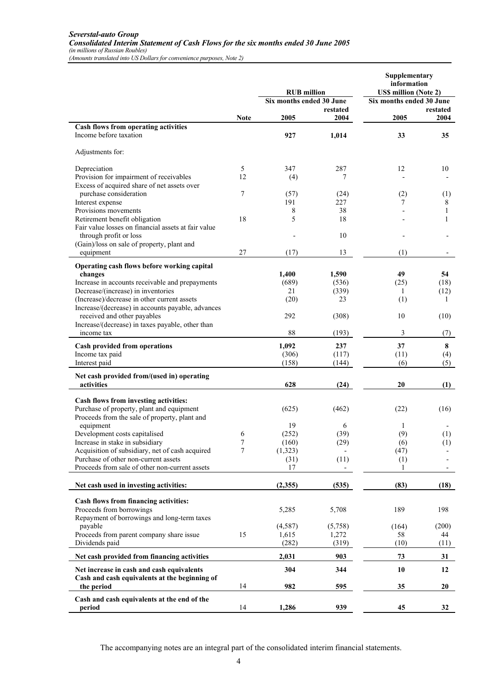### *Severstal-auto Group Consolidated Interim Statement of Cash Flows for the six months ended 30 June 2005 (in millions of Russian Roubles)*

*(Amounts translated into US Dollars for convenience purposes, Note 2)*

|                                                                       |                  | <b>RUB</b> million       |                  | Supplementary<br>information<br><b>US\$ million (Note 2)</b> |                  |
|-----------------------------------------------------------------------|------------------|--------------------------|------------------|--------------------------------------------------------------|------------------|
|                                                                       |                  | Six months ended 30 June |                  | Six months ended 30 June                                     |                  |
|                                                                       | <b>Note</b>      | 2005                     | restated<br>2004 | 2005                                                         | restated<br>2004 |
| Cash flows from operating activities                                  |                  |                          |                  |                                                              |                  |
| Income before taxation                                                |                  | 927                      | 1,014            | 33                                                           | 35               |
| Adjustments for:                                                      |                  |                          |                  |                                                              |                  |
| Depreciation                                                          | 5                | 347                      | 287              | 12                                                           | 10               |
| Provision for impairment of receivables                               | 12               | (4)                      | 7                |                                                              |                  |
| Excess of acquired share of net assets over<br>purchase consideration | 7                | (57)                     | (24)             |                                                              |                  |
| Interest expense                                                      |                  | 191                      | 227              | (2)<br>7                                                     | (1)<br>8         |
| Provisions movements                                                  |                  | 8                        | 38               |                                                              | 1                |
| Retirement benefit obligation                                         | 18               | 5                        | 18               |                                                              | 1                |
| Fair value losses on financial assets at fair value                   |                  |                          |                  |                                                              |                  |
| through profit or loss                                                |                  |                          | 10               |                                                              |                  |
| (Gain)/loss on sale of property, plant and                            |                  |                          |                  |                                                              |                  |
| equipment                                                             | 27               | (17)                     | 13               | (1)                                                          |                  |
| Operating cash flows before working capital                           |                  |                          |                  |                                                              |                  |
| changes                                                               |                  | 1,400                    | 1,590            | 49                                                           | 54               |
| Increase in accounts receivable and prepayments                       |                  | (689)                    | (536)            | (25)                                                         | (18)             |
| Decrease/(increase) in inventories                                    |                  | 21                       | (339)            | 1                                                            | (12)             |
| (Increase)/decrease in other current assets                           |                  | (20)                     | 23               | (1)                                                          | 1                |
| Increase/(decrease) in accounts payable, advances                     |                  |                          |                  |                                                              |                  |
| received and other payables                                           |                  | 292                      | (308)            | 10                                                           | (10)             |
| Increase/(decrease) in taxes payable, other than                      |                  |                          |                  |                                                              |                  |
| income tax                                                            |                  | 88                       | (193)            | 3                                                            | (7)              |
| Cash provided from operations                                         |                  | 1,092                    | 237              | 37                                                           | 8                |
| Income tax paid                                                       |                  | (306)                    | (117)            | (11)                                                         | (4)              |
| Interest paid                                                         |                  | (158)                    | (144)            | (6)                                                          | (5)              |
| Net cash provided from/(used in) operating                            |                  |                          |                  |                                                              |                  |
| activities                                                            |                  | 628                      | (24)             | 20                                                           | (1)              |
| Cash flows from investing activities:                                 |                  |                          |                  |                                                              |                  |
| Purchase of property, plant and equipment                             |                  | (625)                    | (462)            | (22)                                                         | (16)             |
| Proceeds from the sale of property, plant and                         |                  |                          |                  |                                                              |                  |
| equipment                                                             |                  | 19                       | 6                | 1                                                            |                  |
| Development costs capitalised                                         | 6                | (252)                    | (39)             | (9)                                                          | (1)              |
| Increase in stake in subsidiary                                       | $\boldsymbol{7}$ | (160)                    | (29)             | (6)                                                          | (1)              |
| Acquisition of subsidiary, net of cash acquired                       | 7                | (1,323)                  |                  | (47)                                                         |                  |
| Purchase of other non-current assets                                  |                  | (31)                     | (11)             | (1)                                                          |                  |
| Proceeds from sale of other non-current assets                        |                  | 17                       |                  | 1                                                            |                  |
| Net cash used in investing activities:                                |                  | (2,355)                  | (535)            | (83)                                                         | (18)             |
| Cash flows from financing activities:                                 |                  |                          |                  |                                                              |                  |
| Proceeds from borrowings                                              |                  | 5,285                    | 5,708            | 189                                                          | 198              |
| Repayment of borrowings and long-term taxes                           |                  |                          |                  |                                                              |                  |
| payable                                                               |                  | (4,587)                  | (5,758)          | (164)                                                        | (200)            |
| Proceeds from parent company share issue                              | 15               | 1,615                    | 1,272            | 58                                                           | 44               |
| Dividends paid                                                        |                  | (282)                    | (319)            | (10)                                                         | (11)             |
| Net cash provided from financing activities                           |                  | 2,031                    | 903              | 73                                                           | 31               |
| Net increase in cash and cash equivalents                             |                  | 304                      | 344              | 10                                                           | 12               |
| Cash and cash equivalents at the beginning of<br>the period           | 14               | 982                      | 595              | 35                                                           | 20               |
| Cash and cash equivalents at the end of the                           |                  |                          |                  |                                                              |                  |
| period                                                                | 14               | 1,286                    | 939              | 45                                                           | 32               |

The accompanying notes are an integral part of the consolidated interim financial statements.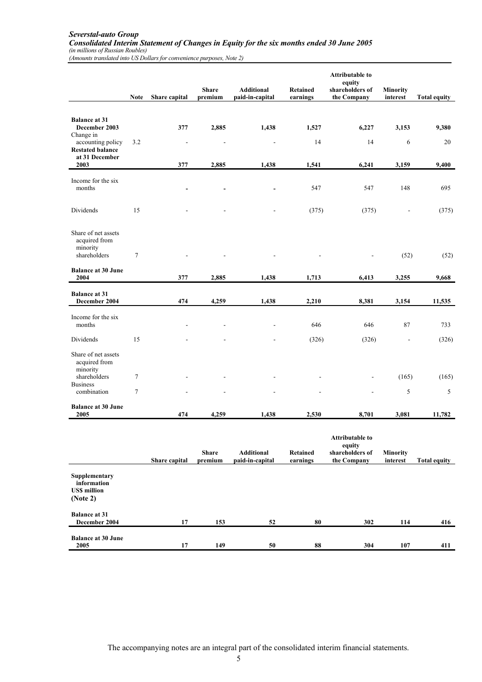### *Severstal-auto Group Consolidated Interim Statement of Changes in Equity for the six months ended 30 June 2005 (in millions of Russian Roubles)*

*(Amounts translated into US Dollars for convenience purposes, Note 2)*

|                                                                  | <b>Note</b> | Share capital            | <b>Share</b><br>premium | <b>Additional</b><br>paid-in-capital | <b>Retained</b><br>earnings | <b>Attributable to</b><br>equity<br>shareholders of<br>the Company | Minority<br>interest        | <b>Total equity</b> |
|------------------------------------------------------------------|-------------|--------------------------|-------------------------|--------------------------------------|-----------------------------|--------------------------------------------------------------------|-----------------------------|---------------------|
| <b>Balance at 31</b><br>December 2003<br>Change in               |             | 377                      | 2,885                   | 1,438                                | 1,527                       | 6,227                                                              | 3,153                       | 9,380               |
| accounting policy<br><b>Restated balance</b><br>at 31 December   | 3.2         | $\overline{\phantom{a}}$ |                         |                                      | 14                          | 14                                                                 | 6                           | 20                  |
| 2003                                                             |             | 377                      | 2,885                   | 1,438                                | 1,541                       | 6,241                                                              | 3,159                       | 9,400               |
| Income for the six<br>months                                     |             |                          |                         |                                      | 547                         | 547                                                                | 148                         | 695                 |
| Dividends                                                        | 15          |                          |                         |                                      | (375)                       | (375)                                                              |                             | (375)               |
| Share of net assets<br>acquired from<br>minority<br>shareholders | $\tau$      |                          |                         |                                      |                             |                                                                    | (52)                        | (52)                |
| <b>Balance at 30 June</b><br>2004                                |             | 377                      | 2,885                   | 1,438                                | 1,713                       | 6,413                                                              | 3,255                       | 9,668               |
| <b>Balance at 31</b><br>December 2004                            |             | 474                      | 4,259                   | 1,438                                | 2,210                       | 8,381                                                              | 3,154                       | 11,535              |
| Income for the six<br>months                                     |             |                          |                         |                                      | 646                         | 646                                                                | 87                          | 733                 |
| Dividends                                                        | 15          |                          |                         |                                      | (326)                       | (326)                                                              | $\overline{\phantom{a}}$    | (326)               |
| Share of net assets<br>acquired from<br>minority                 |             |                          |                         |                                      |                             |                                                                    |                             |                     |
| shareholders<br><b>Business</b>                                  | 7           |                          |                         |                                      |                             |                                                                    | (165)                       | (165)               |
| combination                                                      | $\tau$      |                          |                         |                                      |                             |                                                                    | 5                           | 5                   |
| <b>Balance at 30 June</b><br>2005                                |             | 474                      | 4,259                   | 1,438                                | 2,530                       | 8,701                                                              | 3,081                       | 11,782              |
|                                                                  |             | Share capital            | <b>Share</b><br>premium | <b>Additional</b><br>paid-in-capital | Retained<br>earnings        | <b>Attributable to</b><br>equity<br>shareholders of<br>the Company | <b>Minority</b><br>interest | <b>Total equity</b> |
| Supplementary<br>information<br><b>US\$</b> million<br>(Note 2)  |             |                          |                         |                                      |                             |                                                                    |                             |                     |
| <b>Balance at 31</b><br>December 2004                            |             | 17                       | 153                     | 52                                   | 80                          | 302                                                                | 114                         | 416                 |
| <b>Balance at 30 June</b><br>2005                                |             | 17                       | 149                     | ${\bf 50}$                           | ${\bf 88}$                  | 304                                                                | 107                         | 411                 |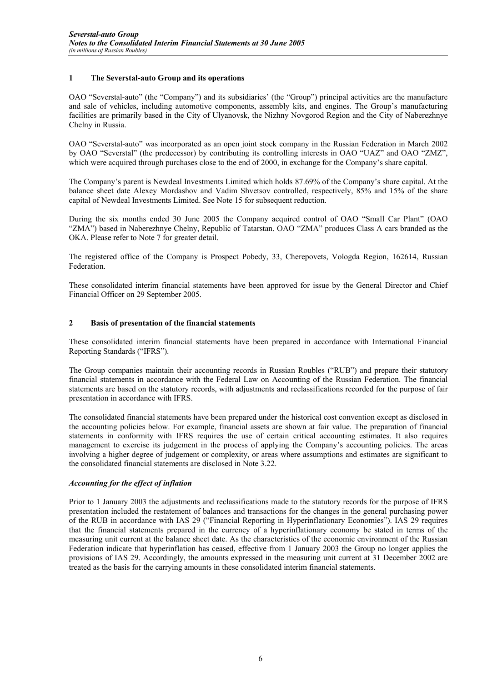# **1 The Severstal-auto Group and its operations**

OAO "Severstal-auto" (the "Company") and its subsidiaries' (the "Group") principal activities are the manufacture and sale of vehicles, including automotive components, assembly kits, and engines. The Group's manufacturing facilities are primarily based in the City of Ulyanovsk, the Nizhny Novgorod Region and the City of Naberezhnye Chelny in Russia.

OAO "Severstal-auto" was incorporated as an open joint stock company in the Russian Federation in March 2002 by OAO "Severstal" (the predecessor) by contributing its controlling interests in OAO "UAZ" and OAO "ZMZ", which were acquired through purchases close to the end of 2000, in exchange for the Company's share capital.

The Company's parent is Newdeal Investments Limited which holds 87.69% of the Company's share capital. At the balance sheet date Alexey Mordashov and Vadim Shvetsov controlled, respectively, 85% and 15% of the share capital of Newdeal Investments Limited. See Note 15 for subsequent reduction.

During the six months ended 30 June 2005 the Company acquired control of OAO "Small Car Plant" (OAO "ZMA") based in Naberezhnye Chelny, Republic of Tatarstan. OAO "ZMA" produces Class A cars branded as the OKA. Please refer to Note 7 for greater detail.

The registered office of the Company is Prospect Pobedy, 33, Cherepovets, Vologda Region, 162614, Russian Federation.

These consolidated interim financial statements have been approved for issue by the General Director and Chief Financial Officer on 29 September 2005.

# **2 Basis of presentation of the financial statements**

These consolidated interim financial statements have been prepared in accordance with International Financial Reporting Standards ("IFRS").

The Group companies maintain their accounting records in Russian Roubles ("RUB") and prepare their statutory financial statements in accordance with the Federal Law on Accounting of the Russian Federation. The financial statements are based on the statutory records, with adjustments and reclassifications recorded for the purpose of fair presentation in accordance with IFRS.

The consolidated financial statements have been prepared under the historical cost convention except as disclosed in the accounting policies below. For example, financial assets are shown at fair value. The preparation of financial statements in conformity with IFRS requires the use of certain critical accounting estimates. It also requires management to exercise its judgement in the process of applying the Company's accounting policies. The areas involving a higher degree of judgement or complexity, or areas where assumptions and estimates are significant to the consolidated financial statements are disclosed in Note 3.22.

## *Accounting for the effect of inflation*

Prior to 1 January 2003 the adjustments and reclassifications made to the statutory records for the purpose of IFRS presentation included the restatement of balances and transactions for the changes in the general purchasing power of the RUB in accordance with IAS 29 ("Financial Reporting in Hyperinflationary Economies"). IAS 29 requires that the financial statements prepared in the currency of a hyperinflationary economy be stated in terms of the measuring unit current at the balance sheet date. As the characteristics of the economic environment of the Russian Federation indicate that hyperinflation has ceased, effective from 1 January 2003 the Group no longer applies the provisions of IAS 29. Accordingly, the amounts expressed in the measuring unit current at 31 December 2002 are treated as the basis for the carrying amounts in these consolidated interim financial statements.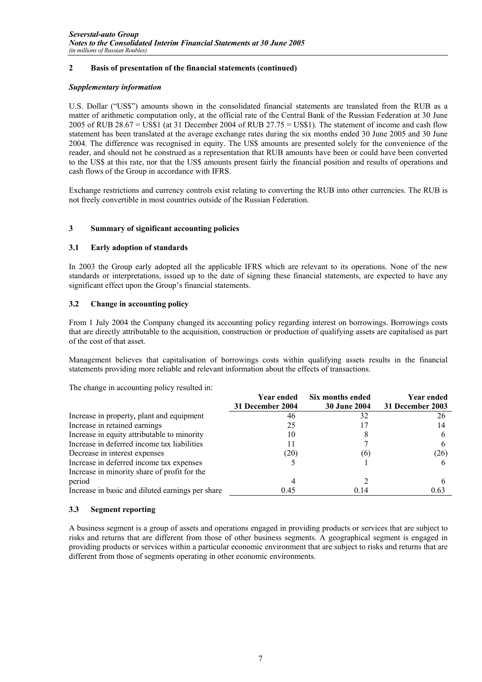# **2 Basis of presentation of the financial statements (continued)**

# *Supplementary information*

U.S. Dollar ("US\$") amounts shown in the consolidated financial statements are translated from the RUB as a matter of arithmetic computation only, at the official rate of the Central Bank of the Russian Federation at 30 June 2005 of RUB 28.67 = US\$1 (at 31 December 2004 of RUB 27.75 = US\$1). The statement of income and cash flow statement has been translated at the average exchange rates during the six months ended 30 June 2005 and 30 June 2004. The difference was recognised in equity. The US\$ amounts are presented solely for the convenience of the reader, and should not be construed as a representation that RUB amounts have been or could have been converted to the US\$ at this rate, nor that the US\$ amounts present fairly the financial position and results of operations and cash flows of the Group in accordance with IFRS.

Exchange restrictions and currency controls exist relating to converting the RUB into other currencies. The RUB is not freely convertible in most countries outside of the Russian Federation.

# **3 Summary of significant accounting policies**

# **3.1 Early adoption of standards**

In 2003 the Group early adopted all the applicable IFRS which are relevant to its operations. None of the new standards or interpretations, issued up to the date of signing these financial statements, are expected to have any significant effect upon the Group's financial statements.

# **3.2 Change in accounting policy**

From 1 July 2004 the Company changed its accounting policy regarding interest on borrowings. Borrowings costs that are directly attributable to the acquisition, construction or production of qualifying assets are capitalised as part of the cost of that asset.

Management believes that capitalisation of borrowings costs within qualifying assets results in the financial statements providing more reliable and relevant information about the effects of transactions.

The change in accounting policy resulted in:

|                                                  | Year ended       | Six months ended    | <b>Year ended</b> |
|--------------------------------------------------|------------------|---------------------|-------------------|
|                                                  | 31 December 2004 | <b>30 June 2004</b> | 31 December 2003  |
| Increase in property, plant and equipment        | 46               | 32                  | 26                |
| Increase in retained earnings                    | 25               |                     | 14                |
| Increase in equity attributable to minority      | 10               |                     |                   |
| Increase in deferred income tax liabilities      |                  |                     |                   |
| Decrease in interest expenses                    | (20)             | (6)                 | (26)              |
| Increase in deferred income tax expenses         |                  |                     |                   |
| Increase in minority share of profit for the     |                  |                     |                   |
| period                                           |                  |                     |                   |
| Increase in basic and diluted earnings per share | 0.45             | 0.14                | 0.63              |

# **3.3 Segment reporting**

A business segment is a group of assets and operations engaged in providing products or services that are subject to risks and returns that are different from those of other business segments. A geographical segment is engaged in providing products or services within a particular economic environment that are subject to risks and returns that are different from those of segments operating in other economic environments.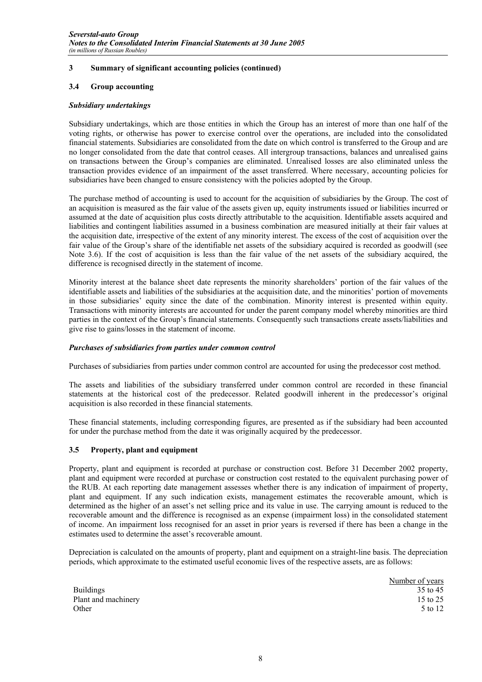## **3.4 Group accounting**

## *Subsidiary undertakings*

Subsidiary undertakings, which are those entities in which the Group has an interest of more than one half of the voting rights, or otherwise has power to exercise control over the operations, are included into the consolidated financial statements. Subsidiaries are consolidated from the date on which control is transferred to the Group and are no longer consolidated from the date that control ceases. All intergroup transactions, balances and unrealised gains on transactions between the Group's companies are eliminated. Unrealised losses are also eliminated unless the transaction provides evidence of an impairment of the asset transferred. Where necessary, accounting policies for subsidiaries have been changed to ensure consistency with the policies adopted by the Group.

The purchase method of accounting is used to account for the acquisition of subsidiaries by the Group. The cost of an acquisition is measured as the fair value of the assets given up, equity instruments issued or liabilities incurred or assumed at the date of acquisition plus costs directly attributable to the acquisition. Identifiable assets acquired and liabilities and contingent liabilities assumed in a business combination are measured initially at their fair values at the acquisition date, irrespective of the extent of any minority interest. The excess of the cost of acquisition over the fair value of the Group's share of the identifiable net assets of the subsidiary acquired is recorded as goodwill (see Note 3.6). If the cost of acquisition is less than the fair value of the net assets of the subsidiary acquired, the difference is recognised directly in the statement of income.

Minority interest at the balance sheet date represents the minority shareholders' portion of the fair values of the identifiable assets and liabilities of the subsidiaries at the acquisition date, and the minorities' portion of movements in those subsidiaries' equity since the date of the combination. Minority interest is presented within equity. Transactions with minority interests are accounted for under the parent company model whereby minorities are third parties in the context of the Group's financial statements. Consequently such transactions create assets/liabilities and give rise to gains/losses in the statement of income.

## *Purchases of subsidiaries from parties under common control*

Purchases of subsidiaries from parties under common control are accounted for using the predecessor cost method.

The assets and liabilities of the subsidiary transferred under common control are recorded in these financial statements at the historical cost of the predecessor. Related goodwill inherent in the predecessor's original acquisition is also recorded in these financial statements.

These financial statements, including corresponding figures, are presented as if the subsidiary had been accounted for under the purchase method from the date it was originally acquired by the predecessor.

## **3.5 Property, plant and equipment**

Property, plant and equipment is recorded at purchase or construction cost. Before 31 December 2002 property, plant and equipment were recorded at purchase or construction cost restated to the equivalent purchasing power of the RUB. At each reporting date management assesses whether there is any indication of impairment of property, plant and equipment. If any such indication exists, management estimates the recoverable amount, which is determined as the higher of an asset's net selling price and its value in use. The carrying amount is reduced to the recoverable amount and the difference is recognised as an expense (impairment loss) in the consolidated statement of income. An impairment loss recognised for an asset in prior years is reversed if there has been a change in the estimates used to determine the asset's recoverable amount.

Depreciation is calculated on the amounts of property, plant and equipment on a straight-line basis. The depreciation periods, which approximate to the estimated useful economic lives of the respective assets, are as follows:

|                     | Number of years |
|---------------------|-----------------|
| <b>Buildings</b>    | 35 to 45        |
| Plant and machinery | 15 to 25        |
| Other               | 5 to 12         |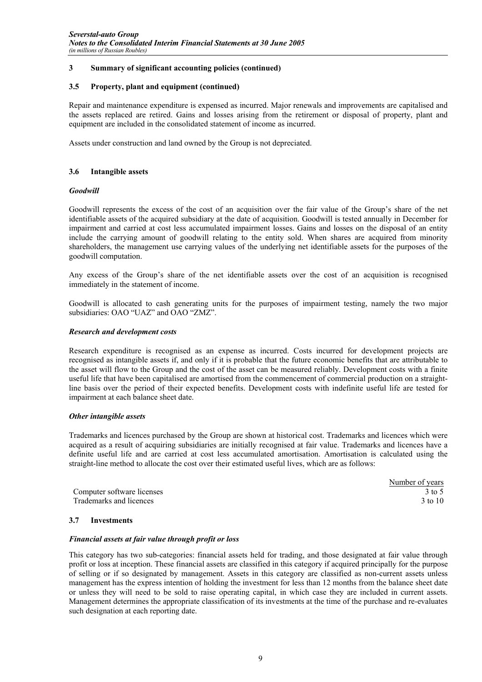## **3.5 Property, plant and equipment (continued)**

Repair and maintenance expenditure is expensed as incurred. Major renewals and improvements are capitalised and the assets replaced are retired. Gains and losses arising from the retirement or disposal of property, plant and equipment are included in the consolidated statement of income as incurred.

Assets under construction and land owned by the Group is not depreciated.

# **3.6 Intangible assets**

# *Goodwill*

Goodwill represents the excess of the cost of an acquisition over the fair value of the Group's share of the net identifiable assets of the acquired subsidiary at the date of acquisition. Goodwill is tested annually in December for impairment and carried at cost less accumulated impairment losses. Gains and losses on the disposal of an entity include the carrying amount of goodwill relating to the entity sold. When shares are acquired from minority shareholders, the management use carrying values of the underlying net identifiable assets for the purposes of the goodwill computation.

Any excess of the Group's share of the net identifiable assets over the cost of an acquisition is recognised immediately in the statement of income.

Goodwill is allocated to cash generating units for the purposes of impairment testing, namely the two major subsidiaries: OAO "UAZ" and OAO "ZMZ".

## *Research and development costs*

Research expenditure is recognised as an expense as incurred. Costs incurred for development projects are recognised as intangible assets if, and only if it is probable that the future economic benefits that are attributable to the asset will flow to the Group and the cost of the asset can be measured reliably. Development costs with a finite useful life that have been capitalised are amortised from the commencement of commercial production on a straightline basis over the period of their expected benefits. Development costs with indefinite useful life are tested for impairment at each balance sheet date.

## *Other intangible assets*

Trademarks and licences purchased by the Group are shown at historical cost. Trademarks and licences which were acquired as a result of acquiring subsidiaries are initially recognised at fair value. Trademarks and licences have a definite useful life and are carried at cost less accumulated amortisation. Amortisation is calculated using the straight-line method to allocate the cost over their estimated useful lives, which are as follows:

Computer software licenses 3 to 5 Trademarks and licences 3 to 10

Number of years

# **3.7 Investments**

## *Financial assets at fair value through profit or loss*

This category has two sub-categories: financial assets held for trading, and those designated at fair value through profit or loss at inception. These financial assets are classified in this category if acquired principally for the purpose of selling or if so designated by management. Assets in this category are classified as non-current assets unless management has the express intention of holding the investment for less than 12 months from the balance sheet date or unless they will need to be sold to raise operating capital, in which case they are included in current assets. Management determines the appropriate classification of its investments at the time of the purchase and re-evaluates such designation at each reporting date.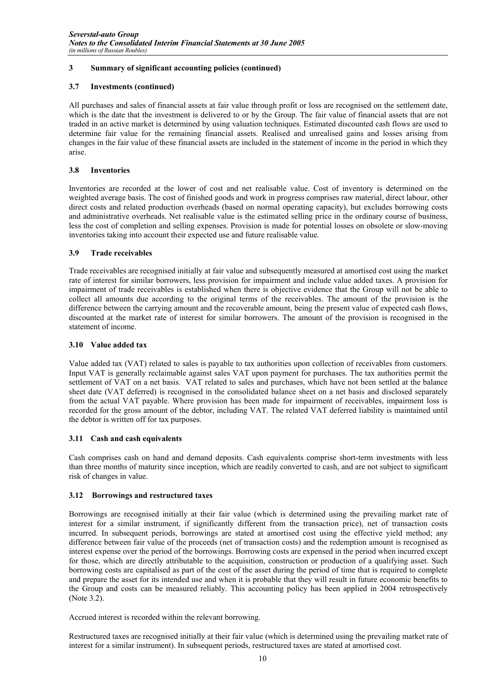# **3.7 Investments (continued)**

All purchases and sales of financial assets at fair value through profit or loss are recognised on the settlement date, which is the date that the investment is delivered to or by the Group. The fair value of financial assets that are not traded in an active market is determined by using valuation techniques. Estimated discounted cash flows are used to determine fair value for the remaining financial assets. Realised and unrealised gains and losses arising from changes in the fair value of these financial assets are included in the statement of income in the period in which they arise.

# **3.8 Inventories**

Inventories are recorded at the lower of cost and net realisable value. Cost of inventory is determined on the weighted average basis. The cost of finished goods and work in progress comprises raw material, direct labour, other direct costs and related production overheads (based on normal operating capacity), but excludes borrowing costs and administrative overheads. Net realisable value is the estimated selling price in the ordinary course of business, less the cost of completion and selling expenses. Provision is made for potential losses on obsolete or slow-moving inventories taking into account their expected use and future realisable value.

# **3.9 Trade receivables**

Trade receivables are recognised initially at fair value and subsequently measured at amortised cost using the market rate of interest for similar borrowers, less provision for impairment and include value added taxes. A provision for impairment of trade receivables is established when there is objective evidence that the Group will not be able to collect all amounts due according to the original terms of the receivables. The amount of the provision is the difference between the carrying amount and the recoverable amount, being the present value of expected cash flows, discounted at the market rate of interest for similar borrowers. The amount of the provision is recognised in the statement of income.

# **3.10 Value added tax**

Value added tax (VAT) related to sales is payable to tax authorities upon collection of receivables from customers. Input VAT is generally reclaimable against sales VAT upon payment for purchases. The tax authorities permit the settlement of VAT on a net basis. VAT related to sales and purchases, which have not been settled at the balance sheet date (VAT deferred) is recognised in the consolidated balance sheet on a net basis and disclosed separately from the actual VAT payable. Where provision has been made for impairment of receivables, impairment loss is recorded for the gross amount of the debtor, including VAT. The related VAT deferred liability is maintained until the debtor is written off for tax purposes.

# **3.11 Cash and cash equivalents**

Cash comprises cash on hand and demand deposits. Cash equivalents comprise short-term investments with less than three months of maturity since inception, which are readily converted to cash, and are not subject to significant risk of changes in value.

# **3.12 Borrowings and restructured taxes**

Borrowings are recognised initially at their fair value (which is determined using the prevailing market rate of interest for a similar instrument, if significantly different from the transaction price), net of transaction costs incurred. In subsequent periods, borrowings are stated at amortised cost using the effective yield method; any difference between fair value of the proceeds (net of transaction costs) and the redemption amount is recognised as interest expense over the period of the borrowings. Borrowing costs are expensed in the period when incurred except for those, which are directly attributable to the acquisition, construction or production of a qualifying asset. Such borrowing costs are capitalised as part of the cost of the asset during the period of time that is required to complete and prepare the asset for its intended use and when it is probable that they will result in future economic benefits to the Group and costs can be measured reliably. This accounting policy has been applied in 2004 retrospectively (Note 3.2).

Accrued interest is recorded within the relevant borrowing.

Restructured taxes are recognised initially at their fair value (which is determined using the prevailing market rate of interest for a similar instrument). In subsequent periods, restructured taxes are stated at amortised cost.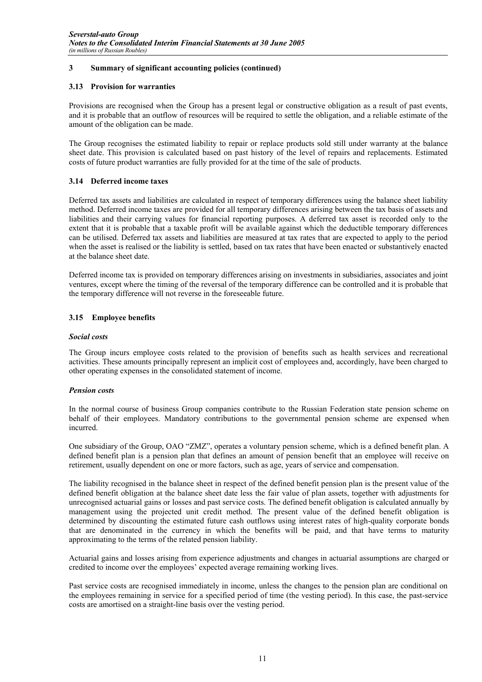# **3.13 Provision for warranties**

Provisions are recognised when the Group has a present legal or constructive obligation as a result of past events, and it is probable that an outflow of resources will be required to settle the obligation, and a reliable estimate of the amount of the obligation can be made.

The Group recognises the estimated liability to repair or replace products sold still under warranty at the balance sheet date. This provision is calculated based on past history of the level of repairs and replacements. Estimated costs of future product warranties are fully provided for at the time of the sale of products.

# **3.14 Deferred income taxes**

Deferred tax assets and liabilities are calculated in respect of temporary differences using the balance sheet liability method. Deferred income taxes are provided for all temporary differences arising between the tax basis of assets and liabilities and their carrying values for financial reporting purposes. A deferred tax asset is recorded only to the extent that it is probable that a taxable profit will be available against which the deductible temporary differences can be utilised. Deferred tax assets and liabilities are measured at tax rates that are expected to apply to the period when the asset is realised or the liability is settled, based on tax rates that have been enacted or substantively enacted at the balance sheet date.

Deferred income tax is provided on temporary differences arising on investments in subsidiaries, associates and joint ventures, except where the timing of the reversal of the temporary difference can be controlled and it is probable that the temporary difference will not reverse in the foreseeable future.

# **3.15 Employee benefits**

## *Social costs*

The Group incurs employee costs related to the provision of benefits such as health services and recreational activities. These amounts principally represent an implicit cost of employees and, accordingly, have been charged to other operating expenses in the consolidated statement of income.

## *Pension costs*

In the normal course of business Group companies contribute to the Russian Federation state pension scheme on behalf of their employees. Mandatory contributions to the governmental pension scheme are expensed when incurred.

One subsidiary of the Group, OAO "ZMZ", operates a voluntary pension scheme, which is a defined benefit plan. A defined benefit plan is a pension plan that defines an amount of pension benefit that an employee will receive on retirement, usually dependent on one or more factors, such as age, years of service and compensation.

The liability recognised in the balance sheet in respect of the defined benefit pension plan is the present value of the defined benefit obligation at the balance sheet date less the fair value of plan assets, together with adjustments for unrecognised actuarial gains or losses and past service costs. The defined benefit obligation is calculated annually by management using the projected unit credit method. The present value of the defined benefit obligation is determined by discounting the estimated future cash outflows using interest rates of high-quality corporate bonds that are denominated in the currency in which the benefits will be paid, and that have terms to maturity approximating to the terms of the related pension liability.

Actuarial gains and losses arising from experience adjustments and changes in actuarial assumptions are charged or credited to income over the employees' expected average remaining working lives.

Past service costs are recognised immediately in income, unless the changes to the pension plan are conditional on the employees remaining in service for a specified period of time (the vesting period). In this case, the past-service costs are amortised on a straight-line basis over the vesting period.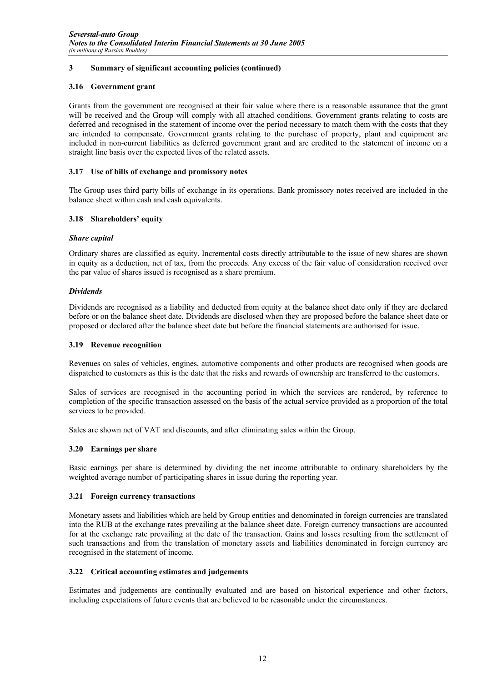# **3.16 Government grant**

Grants from the government are recognised at their fair value where there is a reasonable assurance that the grant will be received and the Group will comply with all attached conditions. Government grants relating to costs are deferred and recognised in the statement of income over the period necessary to match them with the costs that they are intended to compensate. Government grants relating to the purchase of property, plant and equipment are included in non-current liabilities as deferred government grant and are credited to the statement of income on a straight line basis over the expected lives of the related assets.

# **3.17 Use of bills of exchange and promissory notes**

The Group uses third party bills of exchange in its operations. Bank promissory notes received are included in the balance sheet within cash and cash equivalents.

# **3.18 Shareholders' equity**

# *Share capital*

Ordinary shares are classified as equity. Incremental costs directly attributable to the issue of new shares are shown in equity as a deduction, net of tax, from the proceeds. Any excess of the fair value of consideration received over the par value of shares issued is recognised as a share premium.

# *Dividends*

Dividends are recognised as a liability and deducted from equity at the balance sheet date only if they are declared before or on the balance sheet date. Dividends are disclosed when they are proposed before the balance sheet date or proposed or declared after the balance sheet date but before the financial statements are authorised for issue.

## **3.19 Revenue recognition**

Revenues on sales of vehicles, engines, automotive components and other products are recognised when goods are dispatched to customers as this is the date that the risks and rewards of ownership are transferred to the customers.

Sales of services are recognised in the accounting period in which the services are rendered, by reference to completion of the specific transaction assessed on the basis of the actual service provided as a proportion of the total services to be provided.

Sales are shown net of VAT and discounts, and after eliminating sales within the Group.

# **3.20 Earnings per share**

Basic earnings per share is determined by dividing the net income attributable to ordinary shareholders by the weighted average number of participating shares in issue during the reporting year.

## **3.21 Foreign currency transactions**

Monetary assets and liabilities which are held by Group entities and denominated in foreign currencies are translated into the RUB at the exchange rates prevailing at the balance sheet date. Foreign currency transactions are accounted for at the exchange rate prevailing at the date of the transaction. Gains and losses resulting from the settlement of such transactions and from the translation of monetary assets and liabilities denominated in foreign currency are recognised in the statement of income.

## **3.22 Critical accounting estimates and judgements**

Estimates and judgements are continually evaluated and are based on historical experience and other factors, including expectations of future events that are believed to be reasonable under the circumstances.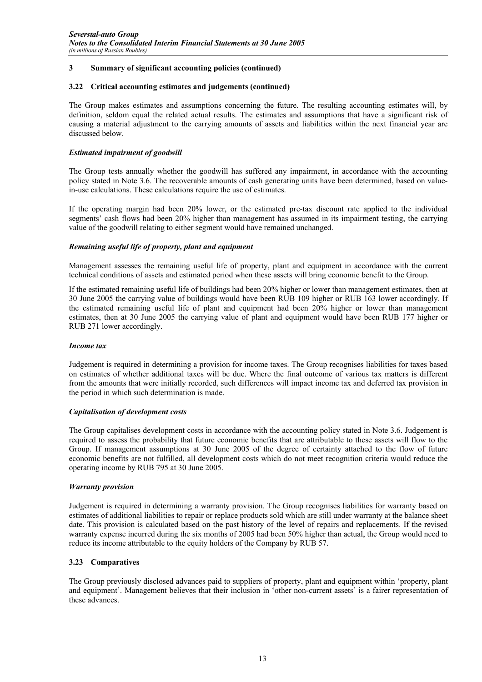## **3.22 Critical accounting estimates and judgements (continued)**

The Group makes estimates and assumptions concerning the future. The resulting accounting estimates will, by definition, seldom equal the related actual results. The estimates and assumptions that have a significant risk of causing a material adjustment to the carrying amounts of assets and liabilities within the next financial year are discussed below.

## *Estimated impairment of goodwill*

The Group tests annually whether the goodwill has suffered any impairment, in accordance with the accounting policy stated in Note 3.6. The recoverable amounts of cash generating units have been determined, based on valuein-use calculations. These calculations require the use of estimates.

If the operating margin had been 20% lower, or the estimated pre-tax discount rate applied to the individual segments' cash flows had been 20% higher than management has assumed in its impairment testing, the carrying value of the goodwill relating to either segment would have remained unchanged.

# *Remaining useful life of property, plant and equipment*

Management assesses the remaining useful life of property, plant and equipment in accordance with the current technical conditions of assets and estimated period when these assets will bring economic benefit to the Group.

If the estimated remaining useful life of buildings had been 20% higher or lower than management estimates, then at 30 June 2005 the carrying value of buildings would have been RUB 109 higher or RUB 163 lower accordingly. If the estimated remaining useful life of plant and equipment had been 20% higher or lower than management estimates, then at 30 June 2005 the carrying value of plant and equipment would have been RUB 177 higher or RUB 271 lower accordingly.

## *Income tax*

Judgement is required in determining a provision for income taxes. The Group recognises liabilities for taxes based on estimates of whether additional taxes will be due. Where the final outcome of various tax matters is different from the amounts that were initially recorded, such differences will impact income tax and deferred tax provision in the period in which such determination is made.

## *Capitalisation of development costs*

The Group capitalises development costs in accordance with the accounting policy stated in Note 3.6. Judgement is required to assess the probability that future economic benefits that are attributable to these assets will flow to the Group. If management assumptions at 30 June 2005 of the degree of certainty attached to the flow of future economic benefits are not fulfilled, all development costs which do not meet recognition criteria would reduce the operating income by RUB 795 at 30 June 2005.

## *Warranty provision*

Judgement is required in determining a warranty provision. The Group recognises liabilities for warranty based on estimates of additional liabilities to repair or replace products sold which are still under warranty at the balance sheet date. This provision is calculated based on the past history of the level of repairs and replacements. If the revised warranty expense incurred during the six months of 2005 had been 50% higher than actual, the Group would need to reduce its income attributable to the equity holders of the Company by RUB 57.

## **3.23 Comparatives**

The Group previously disclosed advances paid to suppliers of property, plant and equipment within 'property, plant and equipment'. Management believes that their inclusion in 'other non-current assets' is a fairer representation of these advances.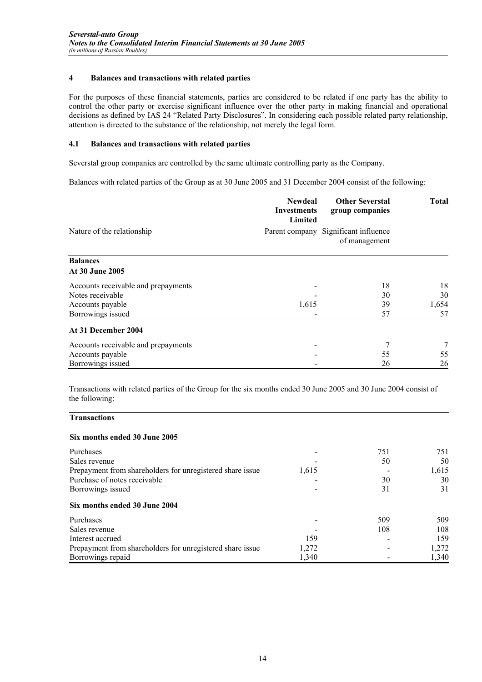# **4 Balances and transactions with related parties**

For the purposes of these financial statements, parties are considered to be related if one party has the ability to control the other party or exercise significant influence over the other party in making financial and operational decisions as defined by IAS 24 "Related Party Disclosures". In considering each possible related party relationship, attention is directed to the substance of the relationship, not merely the legal form.

# **4.1 Balances and transactions with related parties**

Severstal group companies are controlled by the same ultimate controlling party as the Company.

Balances with related parties of the Group as at 30 June 2005 and 31 December 2004 consist of the following:

|                                     | <b>Newdeal</b><br><b>Investments</b><br>Limited | <b>Other Severstal</b><br>group companies | <b>Total</b> |
|-------------------------------------|-------------------------------------------------|-------------------------------------------|--------------|
| Nature of the relationship          | Parent company                                  | Significant influence<br>of management    |              |
| <b>Balances</b>                     |                                                 |                                           |              |
| At 30 June 2005                     |                                                 |                                           |              |
| Accounts receivable and prepayments |                                                 | 18                                        | 18           |
| Notes receivable                    |                                                 | 30                                        | 30           |
| Accounts payable                    | 1,615                                           | 39                                        | 1,654        |
| Borrowings issued                   |                                                 | 57                                        | 57           |
| At 31 December 2004                 |                                                 |                                           |              |
| Accounts receivable and prepayments |                                                 | 7                                         | 7            |
| Accounts payable                    |                                                 | 55                                        | 55           |
| Borrowings issued                   |                                                 | 26                                        | 26           |

Transactions with related parties of the Group for the six months ended 30 June 2005 and 30 June 2004 consist of the following:

# **Six months ended 30 June 2005**

**Transactions** 

| Purchases                                                 |       | 751 | 751   |
|-----------------------------------------------------------|-------|-----|-------|
| Sales revenue                                             |       | 50  | 50    |
| Prepayment from shareholders for unregistered share issue | 1,615 |     | 1,615 |
| Purchase of notes receivable                              |       | 30  | 30    |
| Borrowings issued                                         |       | 31  | 31    |
| Six months ended 30 June 2004<br>Purchases                |       | 509 | 509   |
| Sales revenue                                             |       | 108 | 108   |
| Interest accrued                                          | 159   |     | 159   |
| Prepayment from shareholders for unregistered share issue | 1,272 |     | 1,272 |
| Borrowings repaid                                         | 1,340 |     | 1,340 |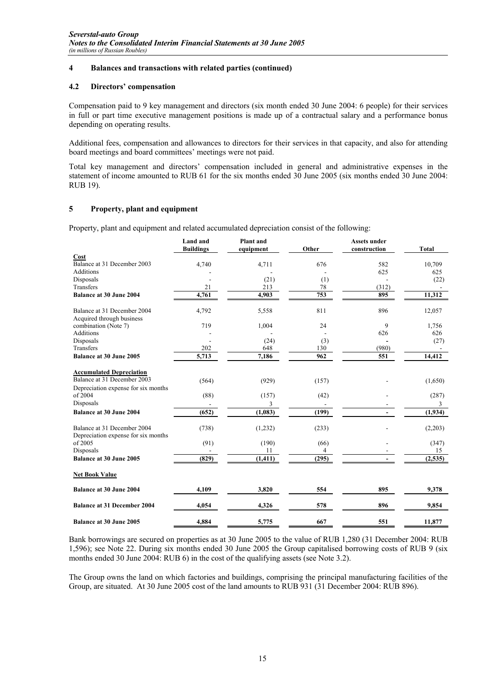# **4 Balances and transactions with related parties (continued)**

## **4.2 Directors' compensation**

Compensation paid to 9 key management and directors (six month ended 30 June 2004: 6 people) for their services in full or part time executive management positions is made up of a contractual salary and a performance bonus depending on operating results.

Additional fees, compensation and allowances to directors for their services in that capacity, and also for attending board meetings and board committees' meetings were not paid.

Total key management and directors' compensation included in general and administrative expenses in the statement of income amounted to RUB 61 for the six months ended 30 June 2005 (six months ended 30 June 2004: RUB 19).

# **5 Property, plant and equipment**

Property, plant and equipment and related accumulated depreciation consist of the following:

|                                                                    | <b>Land and</b><br><b>Buildings</b> | <b>Plant</b> and<br>equipment | Other | <b>Assets under</b><br>construction | <b>Total</b> |
|--------------------------------------------------------------------|-------------------------------------|-------------------------------|-------|-------------------------------------|--------------|
| Cost                                                               |                                     |                               |       |                                     |              |
| Balance at 31 December 2003                                        | 4,740                               | 4,711                         | 676   | 582                                 | 10,709       |
| <b>Additions</b>                                                   |                                     |                               |       | 625                                 | 625          |
| Disposals                                                          |                                     | (21)                          | (1)   |                                     | (22)         |
| Transfers                                                          | 21                                  | 213                           | 78    | (312)                               |              |
| <b>Balance at 30 June 2004</b>                                     | 4,761                               | 4,903                         | 753   | 895                                 | 11,312       |
| Balance at 31 December 2004<br>Acquired through business           | 4,792                               | 5,558                         | 811   | 896                                 | 12,057       |
| combination (Note 7)                                               | 719                                 | 1,004                         | 24    | 9                                   | 1,756        |
| <b>Additions</b>                                                   |                                     |                               |       | 626                                 | 626          |
| Disposals                                                          |                                     | (24)                          | (3)   |                                     | (27)         |
| Transfers                                                          | 202                                 | 648                           | 130   | (980)                               |              |
| <b>Balance at 30 June 2005</b>                                     | 5,713                               | 7,186                         | 962   | 551                                 | 14,412       |
| <b>Accumulated Depreciation</b>                                    |                                     |                               |       |                                     |              |
| Balance at 31 December 2003                                        | (564)                               | (929)                         | (157) |                                     | (1,650)      |
| Depreciation expense for six months                                |                                     |                               |       |                                     |              |
| of 2004                                                            | (88)                                | (157)                         | (42)  |                                     | (287)        |
| Disposals                                                          |                                     | 3                             |       |                                     |              |
| Balance at 30 June 2004                                            | (652)                               | (1,083)                       | (199) |                                     | (1,934)      |
| Balance at 31 December 2004<br>Depreciation expense for six months | (738)                               | (1,232)                       | (233) |                                     | (2,203)      |
| of 2005                                                            | (91)                                | (190)                         | (66)  |                                     | (347)        |
| Disposals                                                          |                                     | 11                            | 4     |                                     | 15           |
| <b>Balance at 30 June 2005</b>                                     | (829)                               | (1, 411)                      | (295) |                                     | (2,535)      |
| <b>Net Book Value</b>                                              |                                     |                               |       |                                     |              |
| <b>Balance at 30 June 2004</b>                                     | 4,109                               | 3,820                         | 554   | 895                                 | 9,378        |
| <b>Balance at 31 December 2004</b>                                 | 4,054                               | 4,326                         | 578   | 896                                 | 9,854        |
| Balance at 30 June 2005                                            | 4,884                               | 5,775                         | 667   | 551                                 | 11,877       |

Bank borrowings are secured on properties as at 30 June 2005 to the value of RUB 1,280 (31 December 2004: RUB 1,596); see Note 22. During six months ended 30 June 2005 the Group capitalised borrowing costs of RUB 9 (six months ended 30 June 2004: RUB 6) in the cost of the qualifying assets (see Note 3.2).

The Group owns the land on which factories and buildings, comprising the principal manufacturing facilities of the Group, are situated. At 30 June 2005 cost of the land amounts to RUB 931 (31 December 2004: RUB 896).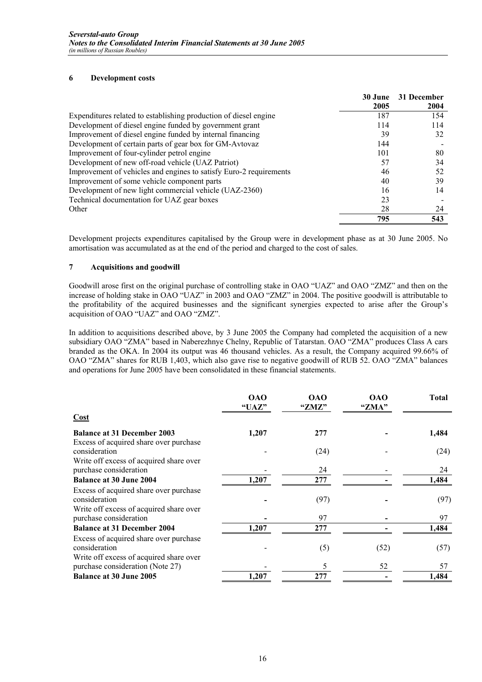# **6 Development costs**

|                                                                    | 30 June | 31 December |
|--------------------------------------------------------------------|---------|-------------|
|                                                                    | 2005    | 2004        |
| Expenditures related to establishing production of diesel engine   | 187     | 154         |
| Development of diesel engine funded by government grant            | 114     | 114         |
| Improvement of diesel engine funded by internal financing          | 39      | 32          |
| Development of certain parts of gear box for GM-Avtovaz            | 144     |             |
| Improvement of four-cylinder petrol engine                         | 101     | 80          |
| Development of new off-road vehicle (UAZ Patriot)                  | 57      | 34          |
| Improvement of vehicles and engines to satisfy Euro-2 requirements | 46      | 52          |
| Improvement of some vehicle component parts                        | 40      | 39          |
| Development of new light commercial vehicle (UAZ-2360)             | 16      | 14          |
| Technical documentation for UAZ gear boxes                         | 23      |             |
| Other                                                              | 28      | 24          |
|                                                                    | 795     | 543         |

Development projects expenditures capitalised by the Group were in development phase as at 30 June 2005. No amortisation was accumulated as at the end of the period and charged to the cost of sales.

# **7 Acquisitions and goodwill**

Goodwill arose first on the original purchase of controlling stake in OAO "UAZ" and OAO "ZMZ" and then on the increase of holding stake in OAO "UAZ" in 2003 and OAO "ZMZ" in 2004. The positive goodwill is attributable to the profitability of the acquired businesses and the significant synergies expected to arise after the Group's acquisition of OAO "UAZ" and OAO "ZMZ".

In addition to acquisitions described above, by 3 June 2005 the Company had completed the acquisition of a new subsidiary OAO "ZMA" based in Naberezhnye Chelny, Republic of Tatarstan. OAO "ZMA" produces Class A cars branded as the OKA. In 2004 its output was 46 thousand vehicles. As a result, the Company acquired 99.66% of OAO "ZMA" shares for RUB 1,403, which also gave rise to negative goodwill of RUB 52. OAO "ZMA" balances and operations for June 2005 have been consolidated in these financial statements.

|                                                                                                    | <b>OAO</b><br>"UAZ" | <b>OAO</b><br>"ZMZ" | <b>OAO</b><br>"ZMA" | <b>Total</b> |
|----------------------------------------------------------------------------------------------------|---------------------|---------------------|---------------------|--------------|
| Cost                                                                                               |                     |                     |                     |              |
| <b>Balance at 31 December 2003</b><br>Excess of acquired share over purchase                       | 1,207               | 277                 |                     | 1,484        |
| consideration<br>Write off excess of acquired share over                                           |                     | (24)                |                     | (24)         |
| purchase consideration                                                                             |                     | 24                  |                     | 24           |
| <b>Balance at 30 June 2004</b>                                                                     | 1,207               | 277                 |                     | 1,484        |
| Excess of acquired share over purchase<br>consideration                                            |                     | (97)                |                     | (97)         |
| Write off excess of acquired share over<br>purchase consideration                                  |                     | 97                  |                     | 97           |
| <b>Balance at 31 December 2004</b>                                                                 | 1,207               | 277                 |                     | 1,484        |
| Excess of acquired share over purchase<br>consideration<br>Write off excess of acquired share over |                     | (5)                 | (52)                | (57)         |
| purchase consideration (Note 27)                                                                   |                     |                     | 52                  | 57           |
| <b>Balance at 30 June 2005</b>                                                                     | 1,207               | 277                 |                     | 1,484        |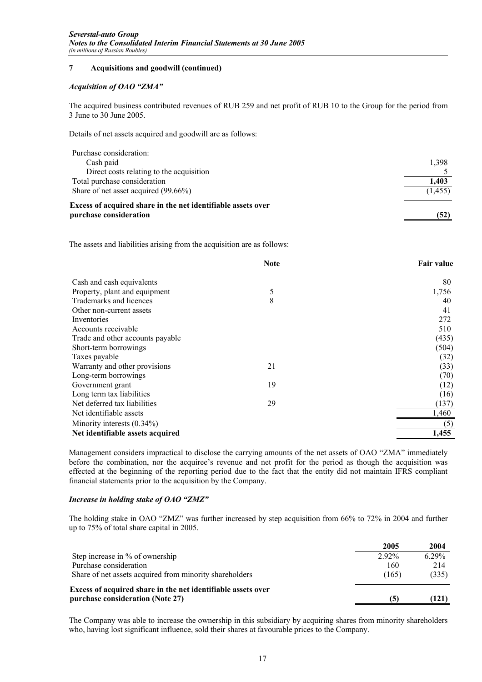# **7 Acquisitions and goodwill (continued)**

## *Acquisition of OAO "ZMA"*

The acquired business contributed revenues of RUB 259 and net profit of RUB 10 to the Group for the period from 3 June to 30 June 2005.

Details of net assets acquired and goodwill are as follows:

| Excess of acquired share in the net identifiable assets over<br>purchase consideration | (52)    |
|----------------------------------------------------------------------------------------|---------|
| Share of net asset acquired (99.66%)                                                   | (1,455) |
| Total purchase consideration                                                           | 1,403   |
| Direct costs relating to the acquisition                                               |         |
| Cash paid                                                                              | 1,398   |
| Purchase consideration:                                                                |         |

The assets and liabilities arising from the acquisition are as follows:

|                                  | <b>Note</b> | <b>Fair value</b> |
|----------------------------------|-------------|-------------------|
| Cash and cash equivalents        |             | 80                |
| Property, plant and equipment    | 5           | 1,756             |
| Trademarks and licences          | 8           | 40                |
| Other non-current assets         |             | 41                |
| Inventories                      |             | 272               |
| Accounts receivable              |             | 510               |
| Trade and other accounts payable |             | (435)             |
| Short-term borrowings            |             | (504)             |
| Taxes payable                    |             | (32)              |
| Warranty and other provisions    | 21          | (33)              |
| Long-term borrowings             |             | (70)              |
| Government grant                 | 19          | (12)              |
| Long term tax liabilities        |             | (16)              |
| Net deferred tax liabilities     | 29          | (137)             |
| Net identifiable assets          |             | 1,460             |
| Minority interests $(0.34\%)$    |             | (5)               |
| Net identifiable assets acquired |             | 1,455             |

Management considers impractical to disclose the carrying amounts of the net assets of OAO "ZMA" immediately before the combination, nor the acquiree's revenue and net profit for the period as though the acquisition was effected at the beginning of the reporting period due to the fact that the entity did not maintain IFRS compliant financial statements prior to the acquisition by the Company.

## *Increase in holding stake of OAO "ZMZ"*

The holding stake in OAO "ZMZ" was further increased by step acquisition from 66% to 72% in 2004 and further up to 75% of total share capital in 2005.

|                                                                                                  | 2005     | 2004     |
|--------------------------------------------------------------------------------------------------|----------|----------|
| Step increase in % of ownership                                                                  | $2.92\%$ | $6.29\%$ |
| Purchase consideration                                                                           | 160      | 214      |
| Share of net assets acquired from minority shareholders                                          | (165)    | (335)    |
| Excess of acquired share in the net identifiable assets over<br>purchase consideration (Note 27) | [5]      | (121)    |

The Company was able to increase the ownership in this subsidiary by acquiring shares from minority shareholders who, having lost significant influence, sold their shares at favourable prices to the Company.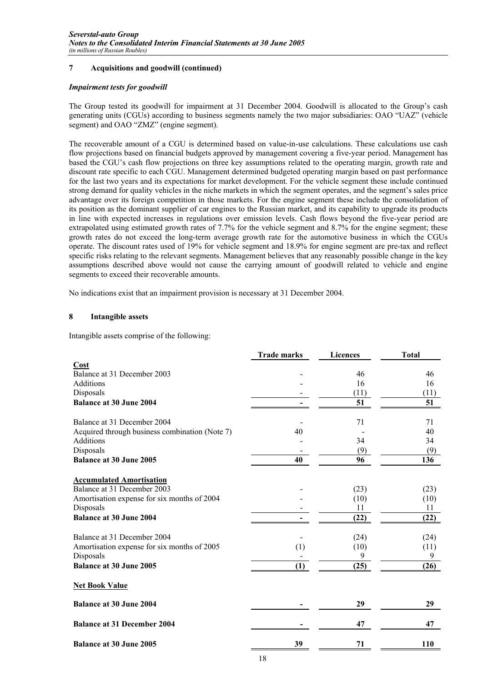# **7 Acquisitions and goodwill (continued)**

## *Impairment tests for goodwill*

The Group tested its goodwill for impairment at 31 December 2004. Goodwill is allocated to the Group's cash generating units (CGUs) according to business segments namely the two major subsidiaries: OAO "UAZ" (vehicle segment) and OAO "ZMZ" (engine segment).

The recoverable amount of a CGU is determined based on value-in-use calculations. These calculations use cash flow projections based on financial budgets approved by management covering a five-year period. Management has based the CGU's cash flow projections on three key assumptions related to the operating margin, growth rate and discount rate specific to each CGU. Management determined budgeted operating margin based on past performance for the last two years and its expectations for market development. For the vehicle segment these include continued strong demand for quality vehicles in the niche markets in which the segment operates, and the segment's sales price advantage over its foreign competition in those markets. For the engine segment these include the consolidation of its position as the dominant supplier of car engines to the Russian market, and its capability to upgrade its products in line with expected increases in regulations over emission levels. Cash flows beyond the five-year period are extrapolated using estimated growth rates of 7.7% for the vehicle segment and 8.7% for the engine segment; these growth rates do not exceed the long-term average growth rate for the automotive business in which the CGUs operate. The discount rates used of 19% for vehicle segment and 18.9% for engine segment are pre-tax and reflect specific risks relating to the relevant segments. Management believes that any reasonably possible change in the key assumptions described above would not cause the carrying amount of goodwill related to vehicle and engine segments to exceed their recoverable amounts.

No indications exist that an impairment provision is necessary at 31 December 2004.

# **8 Intangible assets**

Intangible assets comprise of the following:

|                                                | <b>Trade marks</b> | <b>Licences</b> | <b>Total</b> |
|------------------------------------------------|--------------------|-----------------|--------------|
| Cost                                           |                    |                 |              |
| Balance at 31 December 2003                    |                    | 46              | 46           |
| Additions                                      |                    | 16              | 16           |
| Disposals                                      |                    | (11)            | (11)         |
| <b>Balance at 30 June 2004</b>                 |                    | 51              | 51           |
| Balance at 31 December 2004                    |                    | 71              | 71           |
| Acquired through business combination (Note 7) | 40                 |                 | 40           |
| <b>Additions</b>                               |                    | 34              | 34           |
| Disposals                                      |                    | (9)             | (9)          |
| <b>Balance at 30 June 2005</b>                 | 40                 | 96              | 136          |
| <b>Accumulated Amortisation</b>                |                    |                 |              |
| Balance at 31 December 2003                    |                    | (23)            | (23)         |
| Amortisation expense for six months of 2004    |                    | (10)            | (10)         |
| Disposals                                      |                    | 11              | 11           |
| <b>Balance at 30 June 2004</b>                 |                    | (22)            | (22)         |
| Balance at 31 December 2004                    |                    | (24)            | (24)         |
| Amortisation expense for six months of 2005    | (1)                | (10)            | (11)         |
| Disposals                                      |                    | 9               | 9            |
| <b>Balance at 30 June 2005</b>                 | (1)                | (25)            | (26)         |
| <b>Net Book Value</b>                          |                    |                 |              |
| <b>Balance at 30 June 2004</b>                 |                    | 29              | 29           |
| <b>Balance at 31 December 2004</b>             |                    | 47              | 47           |
| <b>Balance at 30 June 2005</b>                 | 39                 | 71              | 110          |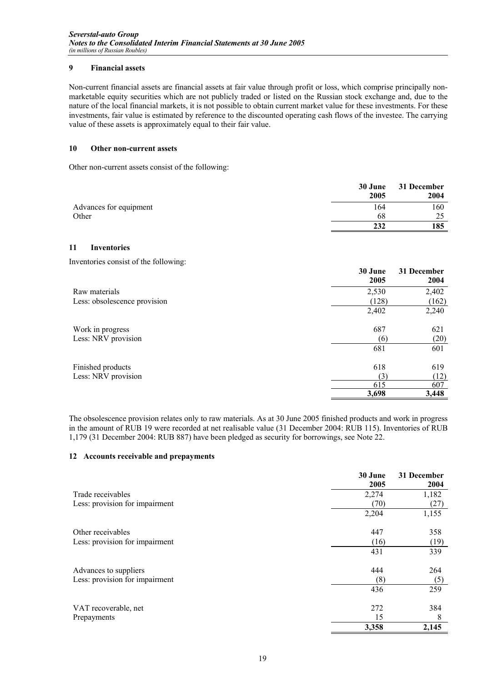# **9 Financial assets**

Non-current financial assets are financial assets at fair value through profit or loss, which comprise principally nonmarketable equity securities which are not publicly traded or listed on the Russian stock exchange and, due to the nature of the local financial markets, it is not possible to obtain current market value for these investments. For these investments, fair value is estimated by reference to the discounted operating cash flows of the investee. The carrying value of these assets is approximately equal to their fair value.

## **10 Other non-current assets**

Other non-current assets consist of the following:

|                        | 30 June<br>2005 | 31 December<br>2004 |
|------------------------|-----------------|---------------------|
| Advances for equipment | 164             | 160                 |
| Other                  | 68              | つぐ                  |
|                        | 232             | 185                 |

# **11 Inventories**

Inventories consist of the following:

|                              | 30 June<br>2005 | 31 December<br>2004 |
|------------------------------|-----------------|---------------------|
| Raw materials                | 2,530           | 2,402               |
| Less: obsolescence provision | (128)           | (162)               |
|                              | 2,402           | 2,240               |
| Work in progress             | 687             | 621                 |
| Less: NRV provision          | (6)             | (20)                |
|                              | 681             | 601                 |
| Finished products            | 618             | 619                 |
| Less: NRV provision          | (3)             | (12)                |
|                              | 615             | 607                 |
|                              | 3,698           | 3,448               |

The obsolescence provision relates only to raw materials. As at 30 June 2005 finished products and work in progress in the amount of RUB 19 were recorded at net realisable value (31 December 2004: RUB 115). Inventories of RUB 1,179 (31 December 2004: RUB 887) have been pledged as security for borrowings, see Note 22.

## **12 Accounts receivable and prepayments**

|                                | 30 June | 31 December |
|--------------------------------|---------|-------------|
|                                | 2005    | 2004        |
| Trade receivables              | 2,274   | 1,182       |
| Less: provision for impairment | (70)    | (27)        |
|                                | 2,204   | 1,155       |
| Other receivables              | 447     | 358         |
| Less: provision for impairment | (16)    | (19)        |
|                                | 431     | 339         |
| Advances to suppliers          | 444     | 264         |
| Less: provision for impairment | (8)     | (5)         |
|                                | 436     | 259         |
| VAT recoverable, net           | 272     | 384         |
| Prepayments                    | 15      | 8           |
|                                | 3,358   | 2,145       |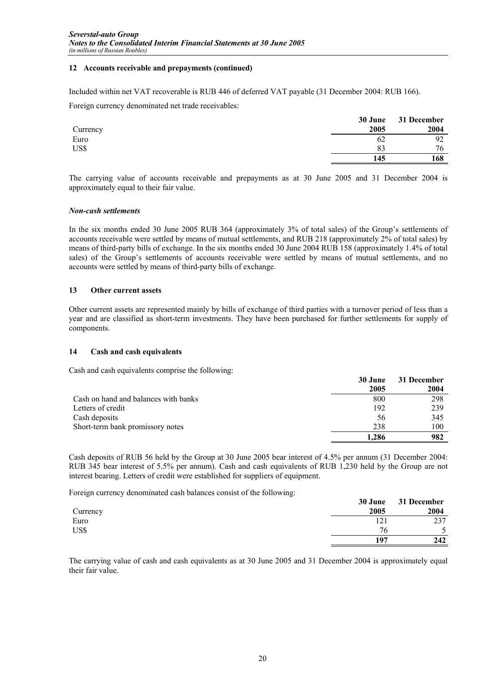# **12 Accounts receivable and prepayments (continued)**

Included within net VAT recoverable is RUB 446 of deferred VAT payable (31 December 2004: RUB 166).

Foreign currency denominated net trade receivables:

|          | 30 June | 31 December |
|----------|---------|-------------|
| Currency | 2005    | 2004        |
| Euro     | 62      | 92          |
| US\$     | 83      | 76          |
|          | 145     | 168         |

The carrying value of accounts receivable and prepayments as at 30 June 2005 and 31 December 2004 is approximately equal to their fair value.

## *Non-cash settlements*

In the six months ended 30 June 2005 RUB 364 (approximately 3% of total sales) of the Group's settlements of accounts receivable were settled by means of mutual settlements, and RUB 218 (approximately 2% of total sales) by means of third-party bills of exchange. In the six months ended 30 June 2004 RUB 158 (approximately 1.4% of total sales) of the Group's settlements of accounts receivable were settled by means of mutual settlements, and no accounts were settled by means of third-party bills of exchange.

# **13 Other current assets**

Other current assets are represented mainly by bills of exchange of third parties with a turnover period of less than a year and are classified as short-term investments. They have been purchased for further settlements for supply of components.

# **14 Cash and cash equivalents**

Cash and cash equivalents comprise the following:

|                                      | 30 June<br>2005 | 31 December<br>2004 |
|--------------------------------------|-----------------|---------------------|
| Cash on hand and balances with banks | 800             | 298                 |
| Letters of credit                    | 192             | 239                 |
| Cash deposits                        | 56              | 345                 |
| Short-term bank promissory notes     | 238             | 100                 |
|                                      | 1.286           | 982                 |

Cash deposits of RUB 56 held by the Group at 30 June 2005 bear interest of 4.5% per annum (31 December 2004: RUB 345 bear interest of 5.5% per annum). Cash and cash equivalents of RUB 1,230 held by the Group are not interest bearing. Letters of credit were established for suppliers of equipment.

Foreign currency denominated cash balances consist of the following:

|          | 30 June | 31 December |
|----------|---------|-------------|
| Currency | 2005    | 2004        |
| Euro     | 121     | 237         |
| US\$     | 76      |             |
|          | 197     | 242         |

The carrying value of cash and cash equivalents as at 30 June 2005 and 31 December 2004 is approximately equal their fair value.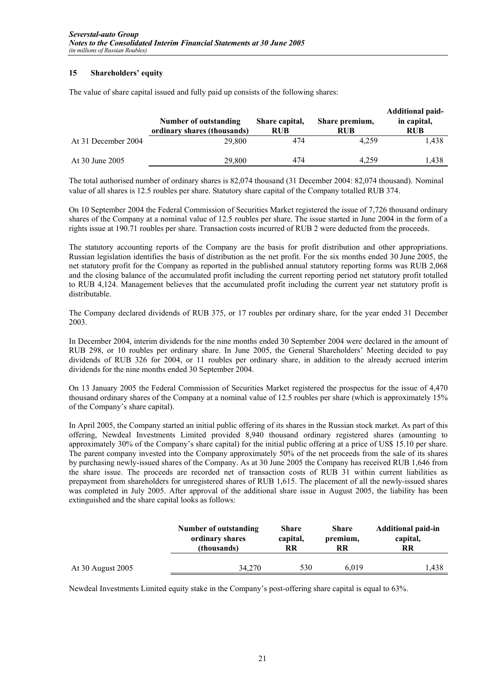# **15 Shareholders' equity**

The value of share capital issued and fully paid up consists of the following shares:

|                     | <b>Number of outstanding</b><br>ordinary shares (thousands) | Share capital,<br><b>RUB</b> | Share premium,<br>RUB | <b>Additional paid-</b><br>in capital,<br><b>RUB</b> |
|---------------------|-------------------------------------------------------------|------------------------------|-----------------------|------------------------------------------------------|
| At 31 December 2004 | 29,800                                                      | 474                          | 4.259                 | 1.438                                                |
| At 30 June 2005     | 29,800                                                      | 474                          | 4.259                 | . 438                                                |

The total authorised number of ordinary shares is 82,074 thousand (31 December 2004: 82,074 thousand). Nominal value of all shares is 12.5 roubles per share. Statutory share capital of the Company totalled RUB 374.

On 10 September 2004 the Federal Commission of Securities Market registered the issue of 7,726 thousand ordinary shares of the Company at a nominal value of 12.5 roubles per share. The issue started in June 2004 in the form of a rights issue at 190.71 roubles per share. Transaction costs incurred of RUB 2 were deducted from the proceeds.

The statutory accounting reports of the Company are the basis for profit distribution and other appropriations. Russian legislation identifies the basis of distribution as the net profit. For the six months ended 30 June 2005, the net statutory profit for the Company as reported in the published annual statutory reporting forms was RUB 2,068 and the closing balance of the accumulated profit including the current reporting period net statutory profit totalled to RUB 4,124. Management believes that the accumulated profit including the current year net statutory profit is distributable.

The Company declared dividends of RUB 375, or 17 roubles per ordinary share, for the year ended 31 December 2003.

In December 2004, interim dividends for the nine months ended 30 September 2004 were declared in the amount of RUB 298, or 10 roubles per ordinary share. In June 2005, the General Shareholders' Meeting decided to pay dividends of RUB 326 for 2004, or 11 roubles per ordinary share, in addition to the already accrued interim dividends for the nine months ended 30 September 2004.

On 13 January 2005 the Federal Commission of Securities Market registered the prospectus for the issue of 4,470 thousand ordinary shares of the Company at a nominal value of 12.5 roubles per share (which is approximately 15% of the Company's share capital).

In April 2005, the Company started an initial public offering of its shares in the Russian stock market. As part of this offering, Newdeal Investments Limited provided 8,940 thousand ordinary registered shares (amounting to approximately 30% of the Company's share capital) for the initial public offering at a price of US\$ 15.10 per share. The parent company invested into the Company approximately 50% of the net proceeds from the sale of its shares by purchasing newly-issued shares of the Company. As at 30 June 2005 the Company has received RUB 1,646 from the share issue. The proceeds are recorded net of transaction costs of RUB 31 within current liabilities as prepayment from shareholders for unregistered shares of RUB 1,615. The placement of all the newly-issued shares was completed in July 2005. After approval of the additional share issue in August 2005, the liability has been extinguished and the share capital looks as follows:

|                   | Number of outstanding | <b>Share</b> | <b>Share</b> | <b>Additional paid-in</b> |
|-------------------|-----------------------|--------------|--------------|---------------------------|
|                   | ordinary shares       | capital,     | premium,     | capital,                  |
|                   | (thousands)           | RR           | RR           | RR                        |
| At 30 August 2005 | 34.270                | 530          | 6.019        | $^{\circ}$ ,438           |

Newdeal Investments Limited equity stake in the Company's post-offering share capital is equal to 63%.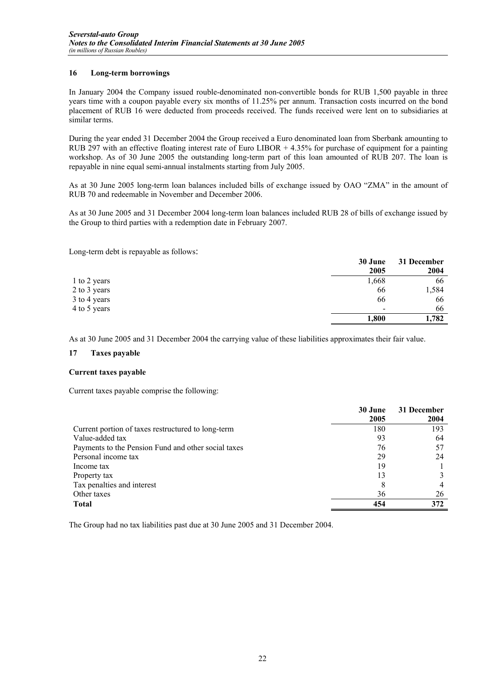# **16 Long-term borrowings**

In January 2004 the Company issued rouble-denominated non-convertible bonds for RUB 1,500 payable in three years time with a coupon payable every six months of 11.25% per annum. Transaction costs incurred on the bond placement of RUB 16 were deducted from proceeds received. The funds received were lent on to subsidiaries at similar terms.

During the year ended 31 December 2004 the Group received a Euro denominated loan from Sberbank amounting to RUB 297 with an effective floating interest rate of Euro LIBOR  $+ 4.35\%$  for purchase of equipment for a painting workshop. As of 30 June 2005 the outstanding long-term part of this loan amounted of RUB 207. The loan is repayable in nine equal semi-annual instalments starting from July 2005.

As at 30 June 2005 long-term loan balances included bills of exchange issued by OAO "ZMA" in the amount of RUB 70 and redeemable in November and December 2006.

As at 30 June 2005 and 31 December 2004 long-term loan balances included RUB 28 of bills of exchange issued by the Group to third parties with a redemption date in February 2007.

Long-term debt is repayable as follows:

|              | 30 June | 31 December |
|--------------|---------|-------------|
|              | 2005    | 2004        |
| 1 to 2 years | 1,668   | 66          |
| 2 to 3 years | 66      | 1,584       |
| 3 to 4 years | 66      | 66          |
| 4 to 5 years | -       | 66          |
|              | 1,800   | 1,782       |

As at 30 June 2005 and 31 December 2004 the carrying value of these liabilities approximates their fair value.

## **17 Taxes payable**

## **Current taxes payable**

Current taxes payable comprise the following:

|                                                     | 30 June | 31 December |
|-----------------------------------------------------|---------|-------------|
|                                                     | 2005    | 2004        |
| Current portion of taxes restructured to long-term  | 180     | 193         |
| Value-added tax                                     | 93      | 64          |
| Payments to the Pension Fund and other social taxes | 76      |             |
| Personal income tax                                 | 29      | 24          |
| Income tax                                          | 19      |             |
| Property tax                                        | 13      |             |
| Tax penalties and interest                          | 8       |             |
| Other taxes                                         | 36      | 26          |
| <b>Total</b>                                        | 454     | 372         |

The Group had no tax liabilities past due at 30 June 2005 and 31 December 2004.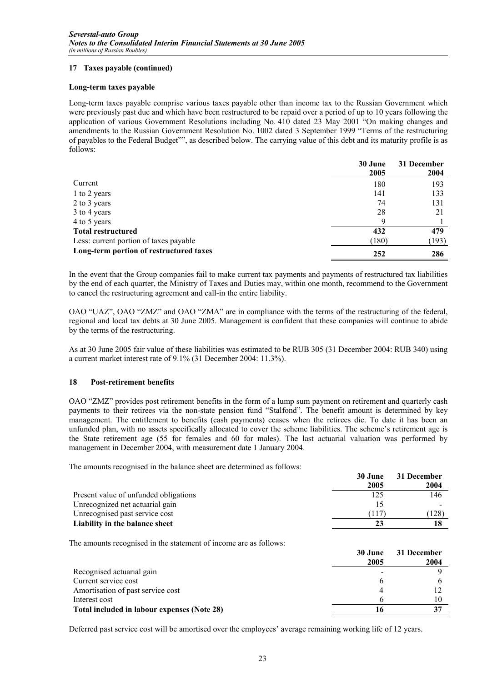# **17 Taxes payable (continued)**

## **Long-term taxes payable**

Long-term taxes payable comprise various taxes payable other than income tax to the Russian Government which were previously past due and which have been restructured to be repaid over a period of up to 10 years following the application of various Government Resolutions including No. 410 dated 23 May 2001 "On making changes and amendments to the Russian Government Resolution No. 1002 dated 3 September 1999 "Terms of the restructuring of payables to the Federal Budget"", as described below. The carrying value of this debt and its maturity profile is as follows:

|                                         | 30 June<br>2005 | 31 December<br>2004 |
|-----------------------------------------|-----------------|---------------------|
| Current                                 | 180             | 193                 |
| 1 to 2 years                            | 141             | 133                 |
| 2 to 3 years                            | 74              | 131                 |
| 3 to 4 years                            | 28              | 21                  |
| 4 to 5 years                            | Q               |                     |
| <b>Total restructured</b>               | 432             | 479                 |
| Less: current portion of taxes payable  | (180)           | (193)               |
| Long-term portion of restructured taxes | 252             | 286                 |

In the event that the Group companies fail to make current tax payments and payments of restructured tax liabilities by the end of each quarter, the Ministry of Taxes and Duties may, within one month, recommend to the Government to cancel the restructuring agreement and call-in the entire liability.

OAO "UAZ", OAO "ZMZ" and OAO "ZMA" are in compliance with the terms of the restructuring of the federal, regional and local tax debts at 30 June 2005. Management is confident that these companies will continue to abide by the terms of the restructuring.

As at 30 June 2005 fair value of these liabilities was estimated to be RUB 305 (31 December 2004: RUB 340) using a current market interest rate of 9.1% (31 December 2004: 11.3%).

## **18 Post-retirement benefits**

OAO "ZMZ" provides post retirement benefits in the form of a lump sum payment on retirement and quarterly cash payments to their retirees via the non-state pension fund "Stalfond". The benefit amount is determined by key management. The entitlement to benefits (cash payments) ceases when the retirees die. To date it has been an unfunded plan, with no assets specifically allocated to cover the scheme liabilities. The scheme's retirement age is the State retirement age (55 for females and 60 for males). The last actuarial valuation was performed by management in December 2004, with measurement date 1 January 2004.

The amounts recognised in the balance sheet are determined as follows:

|                                       | 30 June<br>2005 | 31 December<br>2004 |
|---------------------------------------|-----------------|---------------------|
| Present value of unfunded obligations | 125             | 146                 |
| Unrecognized net actuarial gain       |                 |                     |
| Unrecognised past service cost        | (117            | (128)               |
| Liability in the balance sheet        |                 |                     |

The amounts recognised in the statement of income are as follows:

|                                             | 30 June | 31 December |
|---------------------------------------------|---------|-------------|
|                                             | 2005    | 2004        |
| Recognised actuarial gain                   |         |             |
| Current service cost                        | h       |             |
| Amortisation of past service cost           |         |             |
| Interest cost                               |         |             |
| Total included in labour expenses (Note 28) |         |             |

Deferred past service cost will be amortised over the employees' average remaining working life of 12 years.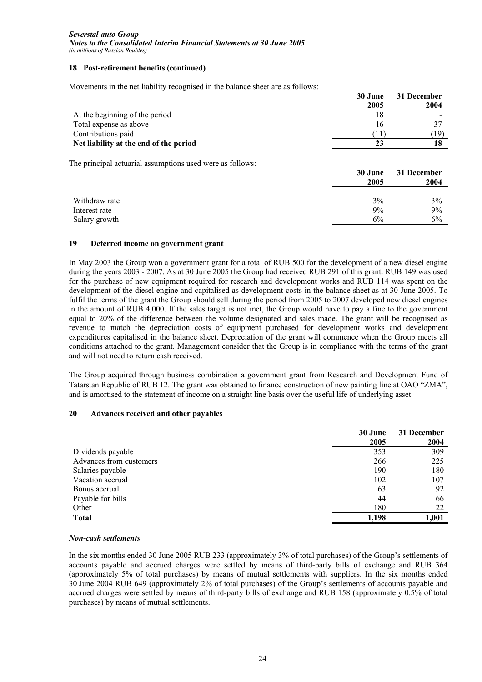# **18 Post-retirement benefits (continued)**

Movements in the net liability recognised in the balance sheet are as follows:

|                                        | 30 June | 31 December |
|----------------------------------------|---------|-------------|
|                                        | 2005    | 2004        |
| At the beginning of the period         |         |             |
| Total expense as above                 | ١h      |             |
| Contributions paid                     |         | 19)         |
| Net liability at the end of the period | 23      |             |

The principal actuarial assumptions used were as follows:

|                                | 30 June<br>2005 | 31 December<br>2004 |
|--------------------------------|-----------------|---------------------|
| Withdraw rate                  | 3%              | 3%                  |
| Interest rate<br>Salary growth | 9%<br>6%        | 9%<br>6%            |

# **19 Deferred income on government grant**

In May 2003 the Group won a government grant for a total of RUB 500 for the development of a new diesel engine during the years 2003 - 2007. As at 30 June 2005 the Group had received RUB 291 of this grant. RUB 149 was used for the purchase of new equipment required for research and development works and RUB 114 was spent on the development of the diesel engine and capitalised as development costs in the balance sheet as at 30 June 2005. To fulfil the terms of the grant the Group should sell during the period from 2005 to 2007 developed new diesel engines in the amount of RUB 4,000. If the sales target is not met, the Group would have to pay a fine to the government equal to 20% of the difference between the volume designated and sales made. The grant will be recognised as revenue to match the depreciation costs of equipment purchased for development works and development expenditures capitalised in the balance sheet. Depreciation of the grant will commence when the Group meets all conditions attached to the grant. Management consider that the Group is in compliance with the terms of the grant and will not need to return cash received.

The Group acquired through business combination a government grant from Research and Development Fund of Tatarstan Republic of RUB 12. The grant was obtained to finance construction of new painting line at OAO "ZMA", and is amortised to the statement of income on a straight line basis over the useful life of underlying asset.

## **20 Advances received and other payables**

|                         | 30 June | 31 December |
|-------------------------|---------|-------------|
|                         | 2005    | 2004        |
| Dividends payable       | 353     | 309         |
| Advances from customers | 266     | 225         |
| Salaries payable        | 190     | 180         |
| Vacation accrual        | 102     | 107         |
| Bonus accrual           | 63      | 92          |
| Payable for bills       | 44      | 66          |
| Other                   | 180     | 22          |
| <b>Total</b>            | 1,198   | 1,001       |

## *Non-cash settlements*

In the six months ended 30 June 2005 RUB 233 (approximately 3% of total purchases) of the Group's settlements of accounts payable and accrued charges were settled by means of third-party bills of exchange and RUB 364 (approximately 5% of total purchases) by means of mutual settlements with suppliers. In the six months ended 30 June 2004 RUB 649 (approximately 2% of total purchases) of the Group's settlements of accounts payable and accrued charges were settled by means of third-party bills of exchange and RUB 158 (approximately 0.5% of total purchases) by means of mutual settlements.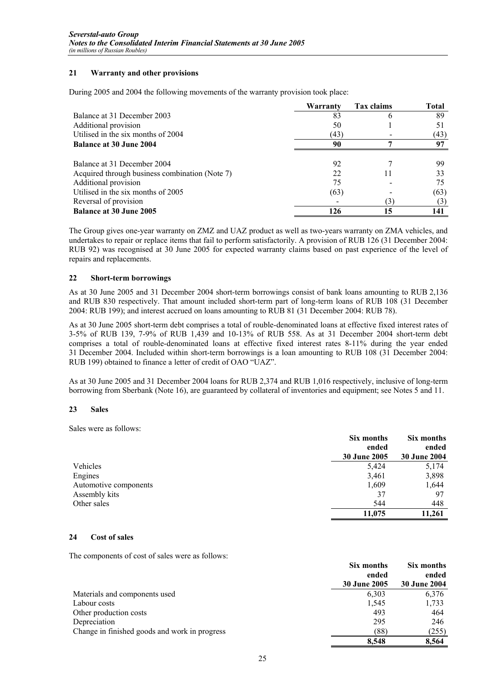# **21 Warranty and other provisions**

During 2005 and 2004 the following movements of the warranty provision took place:

|                                                | Warranty | <b>Tax claims</b> | Total |
|------------------------------------------------|----------|-------------------|-------|
| Balance at 31 December 2003                    | 83       | h                 | 89    |
| Additional provision                           | 50       |                   | 51    |
| Utilised in the six months of 2004             | (43)     |                   | (43)  |
| <b>Balance at 30 June 2004</b>                 | 90       |                   | 97    |
| Balance at 31 December 2004                    | 92       |                   | 99    |
| Acquired through business combination (Note 7) | 22       |                   | 33    |
| Additional provision                           | 75       |                   | 75    |
| Utilised in the six months of 2005             | (63)     |                   | (63)  |
| Reversal of provision                          |          | 5.                | (3)   |
| <b>Balance at 30 June 2005</b>                 | 126      | 15                | 141   |

The Group gives one-year warranty on ZMZ and UAZ product as well as two-years warranty on ZMA vehicles, and undertakes to repair or replace items that fail to perform satisfactorily. A provision of RUB 126 (31 December 2004: RUB 92) was recognised at 30 June 2005 for expected warranty claims based on past experience of the level of repairs and replacements.

# **22 Short-term borrowings**

As at 30 June 2005 and 31 December 2004 short-term borrowings consist of bank loans amounting to RUB 2,136 and RUB 830 respectively. That amount included short-term part of long-term loans of RUB 108 (31 December 2004: RUB 199); and interest accrued on loans amounting to RUB 81 (31 December 2004: RUB 78).

As at 30 June 2005 short-term debt comprises a total of rouble-denominated loans at effective fixed interest rates of 3-5% of RUB 139, 7-9% of RUB 1,439 and 10-13% of RUB 558. As at 31 December 2004 short-term debt comprises a total of rouble-denominated loans at effective fixed interest rates 8-11% during the year ended 31 December 2004. Included within short-term borrowings is a loan amounting to RUB 108 (31 December 2004: RUB 199) obtained to finance a letter of credit of OAO "UAZ".

As at 30 June 2005 and 31 December 2004 loans for RUB 2,374 and RUB 1,016 respectively, inclusive of long-term borrowing from Sberbank (Note 16), are guaranteed by collateral of inventories and equipment; see Notes 5 and 11.

# **23 Sales**

Sales were as follows:

|                       | Six months          | Six months          |  |
|-----------------------|---------------------|---------------------|--|
|                       | ended               | ended               |  |
|                       | <b>30 June 2005</b> | <b>30 June 2004</b> |  |
| Vehicles              | 5,424               | 5,174               |  |
| Engines               | 3,461               | 3,898               |  |
| Automotive components | 1,609               | 1,644               |  |
| Assembly kits         | 37                  | 97                  |  |
| Other sales           | 544                 | 448                 |  |
|                       | 11,075              | 11.261              |  |

# **24 Cost of sales**

The components of cost of sales were as follows:

|                                               | Six months<br>ended<br><b>30 June 2005</b> | Six months<br>ended<br><b>30 June 2004</b> |
|-----------------------------------------------|--------------------------------------------|--------------------------------------------|
| Materials and components used                 | 6,303                                      | 6,376                                      |
| Labour costs                                  | 1,545                                      | 1,733                                      |
| Other production costs                        | 493                                        | 464                                        |
| Depreciation                                  | 295                                        | 246                                        |
| Change in finished goods and work in progress | (88)                                       | (255)                                      |
|                                               | 8,548                                      | 8,564                                      |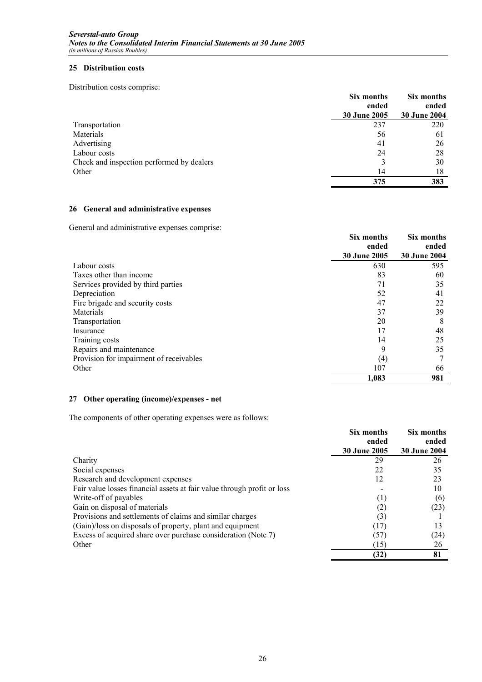## **25 Distribution costs**

Distribution costs comprise:

|                                           | Six months<br>ended | Six months<br>ended |  |
|-------------------------------------------|---------------------|---------------------|--|
|                                           | 30 June 2005        | <b>30 June 2004</b> |  |
| Transportation                            | 237                 | 220                 |  |
| Materials                                 | 56                  | 61                  |  |
| Advertising                               | 41                  | 26                  |  |
| Labour costs                              | 24                  | 28                  |  |
| Check and inspection performed by dealers | 3                   | 30                  |  |
| Other                                     | 14                  | 18                  |  |
|                                           | 375                 | 383                 |  |

# **26 General and administrative expenses**

General and administrative expenses comprise:

|                                         | Six months<br>ended | Six months<br>ended |
|-----------------------------------------|---------------------|---------------------|
|                                         | 30 June 2005        | <b>30 June 2004</b> |
| Labour costs                            | 630                 | 595                 |
| Taxes other than income                 | 83                  | 60                  |
| Services provided by third parties      | 71                  | 35                  |
| Depreciation                            | 52                  | 41                  |
| Fire brigade and security costs         | 47                  | 22                  |
| Materials                               | 37                  | 39                  |
| Transportation                          | 20                  | 8                   |
| Insurance                               | 17                  | 48                  |
| Training costs                          | 14                  | 25                  |
| Repairs and maintenance                 | 9                   | 35                  |
| Provision for impairment of receivables | $\left(4\right)$    |                     |
| Other                                   | 107                 | 66                  |
|                                         | 1,083               | 981                 |

# **27 Other operating (income)/expenses - net**

The components of other operating expenses were as follows:

|                                                                         | Six months          | Six months   |
|-------------------------------------------------------------------------|---------------------|--------------|
|                                                                         | ended               | ended        |
|                                                                         | <b>30 June 2005</b> | 30 June 2004 |
| Charity                                                                 | 29                  | 26           |
| Social expenses                                                         | 22                  | 35           |
| Research and development expenses                                       | 12                  | 23           |
| Fair value losses financial assets at fair value through profit or loss |                     | 10           |
| Write-off of payables                                                   | (1)                 | (6)          |
| Gain on disposal of materials                                           |                     | (23)         |
| Provisions and settlements of claims and similar charges                | (3)                 |              |
| (Gain)/loss on disposals of property, plant and equipment               | (17)                | 13           |
| Excess of acquired share over purchase consideration (Note 7)           | (57)                | (24)         |
| Other                                                                   | (15)                | 26           |
|                                                                         | (32)                | 81           |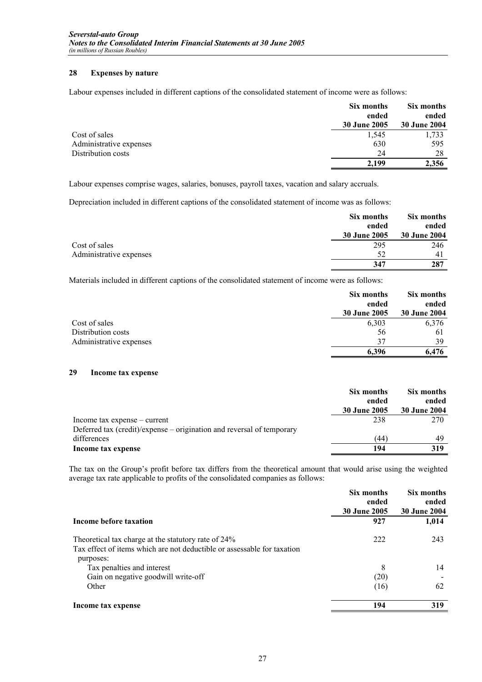# **28 Expenses by nature**

Labour expenses included in different captions of the consolidated statement of income were as follows:

|                         | Six months<br>ended<br>30 June 2005 | Six months<br>ended<br><b>30 June 2004</b> |
|-------------------------|-------------------------------------|--------------------------------------------|
| Cost of sales           | 1,545                               | 1,733                                      |
| Administrative expenses | 630                                 | 595                                        |
| Distribution costs      | 24                                  | 28                                         |
|                         | 2,199                               | 2,356                                      |

Labour expenses comprise wages, salaries, bonuses, payroll taxes, vacation and salary accruals.

Depreciation included in different captions of the consolidated statement of income was as follows:

|                         | Six months   | Six months          |
|-------------------------|--------------|---------------------|
|                         | ended        | ended               |
|                         | 30 June 2005 | <b>30 June 2004</b> |
| Cost of sales           | 295          | 246                 |
| Administrative expenses | 52           | 41                  |
|                         | 347          | 287                 |

Materials included in different captions of the consolidated statement of income were as follows:

|                         | Six months          | Six months          |
|-------------------------|---------------------|---------------------|
|                         | ended               | ended               |
|                         | <b>30 June 2005</b> | <b>30 June 2004</b> |
| Cost of sales           | 6,303               | 6,376               |
| Distribution costs      | 56                  | 61                  |
| Administrative expenses | 37                  | 39                  |
|                         | 6.396               | 6.476               |

# **29 Income tax expense**

|                                                                       | Six months   | Six months          |
|-----------------------------------------------------------------------|--------------|---------------------|
|                                                                       | ended        | ended               |
|                                                                       | 30 June 2005 | <b>30 June 2004</b> |
| Income tax expense – current                                          | 238          | 270                 |
| Deferred tax (credit)/expense – origination and reversal of temporary |              |                     |
| differences                                                           | (44          | 49                  |
| Income tax expense                                                    | 194          | 319                 |

The tax on the Group's profit before tax differs from the theoretical amount that would arise using the weighted average tax rate applicable to profits of the consolidated companies as follows:

|                                                                                                                                | Six months<br>ended<br><b>30 June 2005</b> | Six months<br>ended<br><b>30 June 2004</b> |
|--------------------------------------------------------------------------------------------------------------------------------|--------------------------------------------|--------------------------------------------|
| Income before taxation                                                                                                         | 927                                        | 1,014                                      |
| Theoretical tax charge at the statutory rate of 24%<br>Tax effect of items which are not deductible or assessable for taxation | 222                                        | 243                                        |
| purposes:<br>Tax penalties and interest                                                                                        | 8                                          | 14                                         |
| Gain on negative goodwill write-off                                                                                            | (20)                                       |                                            |
| Other                                                                                                                          | (16)                                       | 62                                         |
| Income tax expense                                                                                                             | 194                                        | 319                                        |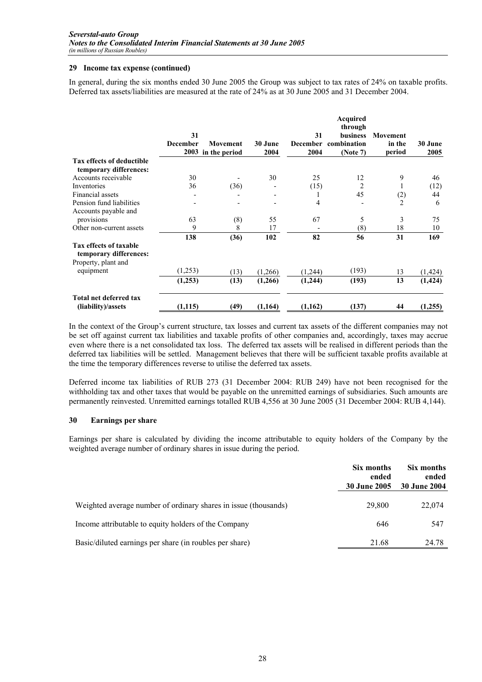## **29 Income tax expense (continued)**

In general, during the six months ended 30 June 2005 the Group was subject to tax rates of 24% on taxable profits. Deferred tax assets/liabilities are measured at the rate of 24% as at 30 June 2005 and 31 December 2004.

|                                                                                |                       |                    |         |         | Acquired<br>through                     |                           |          |
|--------------------------------------------------------------------------------|-----------------------|--------------------|---------|---------|-----------------------------------------|---------------------------|----------|
|                                                                                | 31<br><b>December</b> | <b>Movement</b>    | 30 June | 31      | <b>business</b><br>December combination | <b>Movement</b><br>in the | 30 June  |
|                                                                                |                       | 2003 in the period | 2004    | 2004    | (Note 7)                                | period                    | 2005     |
| <b>Tax effects of deductible</b><br>temporary differences:                     |                       |                    |         |         |                                         |                           |          |
| Accounts receivable                                                            | 30                    |                    | 30      | 25      | 12                                      | 9                         | 46       |
| Inventories                                                                    | 36                    | (36)               |         | (15)    | 2                                       | 1                         | (12)     |
| Financial assets                                                               |                       |                    |         |         | 45                                      | (2)                       | 44       |
| Pension fund liabilities<br>Accounts payable and                               |                       |                    |         | 4       |                                         | $\overline{c}$            | 6        |
| provisions                                                                     | 63                    | (8)                | 55      | 67      | 5                                       | 3                         | 75       |
| Other non-current assets                                                       | 9                     | 8                  | 17      |         | $^{(8)}$                                | 18                        | 10       |
|                                                                                | 138                   | (36)               | 102     | 82      | 56                                      | 31                        | 169      |
| <b>Tax effects of taxable</b><br>temporary differences:<br>Property, plant and |                       |                    |         |         |                                         |                           |          |
| equipment                                                                      | (1,253)               | (13)               | (1,266) | (1,244) | (193)                                   | 13                        | (1, 424) |
|                                                                                | (1,253)               | (13)               | (1,266) | (1,244) | (193)                                   | 13                        | (1, 424) |
|                                                                                |                       |                    |         |         |                                         |                           |          |
| Total net deferred tax<br>(liability)/assets                                   | (1, 115)              | (49)               | (1,164) | (1,162) | (137)                                   | 44                        | (1,255)  |

In the context of the Group's current structure, tax losses and current tax assets of the different companies may not be set off against current tax liabilities and taxable profits of other companies and, accordingly, taxes may accrue even where there is a net consolidated tax loss. The deferred tax assets will be realised in different periods than the deferred tax liabilities will be settled. Management believes that there will be sufficient taxable profits available at the time the temporary differences reverse to utilise the deferred tax assets.

Deferred income tax liabilities of RUB 273 (31 December 2004: RUB 249) have not been recognised for the withholding tax and other taxes that would be payable on the unremitted earnings of subsidiaries. Such amounts are permanently reinvested. Unremitted earnings totalled RUB 4,556 at 30 June 2005 (31 December 2004: RUB 4,144).

## **30 Earnings per share**

Earnings per share is calculated by dividing the income attributable to equity holders of the Company by the weighted average number of ordinary shares in issue during the period.

|                                                                 | Six months<br>ended<br><b>30 June 2005</b> | Six months<br>ended<br><b>30 June 2004</b> |
|-----------------------------------------------------------------|--------------------------------------------|--------------------------------------------|
| Weighted average number of ordinary shares in issue (thousands) | 29,800                                     | 22,074                                     |
| Income attributable to equity holders of the Company            | 646                                        | 547                                        |
| Basic/diluted earnings per share (in roubles per share)         | 21.68                                      | 24.78                                      |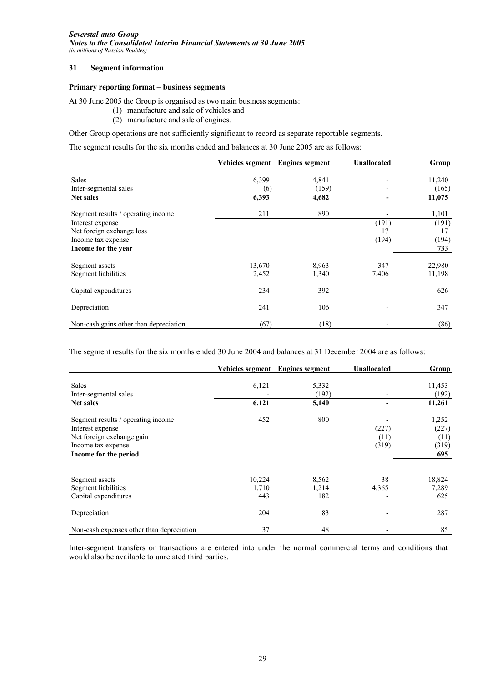## **31 Segment information**

## **Primary reporting format – business segments**

At 30 June 2005 the Group is organised as two main business segments:

- (1) manufacture and sale of vehicles and
- (2) manufacture and sale of engines.

Other Group operations are not sufficiently significant to record as separate reportable segments.

The segment results for the six months ended and balances at 30 June 2005 are as follows:

|                                        | Vehicles segment | <b>Engines segment</b> | <b>Unallocated</b> | Group  |
|----------------------------------------|------------------|------------------------|--------------------|--------|
| <b>Sales</b>                           | 6,399            | 4,841                  |                    | 11,240 |
| Inter-segmental sales                  | (6)              | (159)                  |                    | (165)  |
| <b>Net sales</b>                       | 6,393            | 4,682                  |                    | 11,075 |
| Segment results / operating income     | 211              | 890                    |                    | 1,101  |
| Interest expense                       |                  |                        | (191)              | (191)  |
| Net foreign exchange loss              |                  |                        | 17                 | 17     |
| Income tax expense                     |                  |                        | (194)              | (194)  |
| Income for the year                    |                  |                        |                    | 733    |
|                                        |                  |                        |                    |        |
| Segment assets                         | 13,670           | 8.963                  | 347                | 22,980 |
| Segment liabilities                    | 2,452            | 1,340                  | 7,406              | 11,198 |
| Capital expenditures                   | 234              | 392                    |                    | 626    |
| Depreciation                           | 241              | 106                    |                    | 347    |
| Non-cash gains other than depreciation | (67)             | (18)                   |                    | (86)   |

The segment results for the six months ended 30 June 2004 and balances at 31 December 2004 are as follows:

|                                           | Vehicles segment | <b>Engines segment</b> | <b>Unallocated</b> | Group  |
|-------------------------------------------|------------------|------------------------|--------------------|--------|
| <b>Sales</b>                              | 6,121            | 5,332                  |                    | 11,453 |
| Inter-segmental sales                     |                  | (192)                  |                    | (192)  |
| <b>Net sales</b>                          | 6,121            | 5,140                  |                    | 11,261 |
| Segment results / operating income        | 452              | 800                    |                    | 1,252  |
| Interest expense                          |                  |                        | (227)              | (227)  |
| Net foreign exchange gain                 |                  |                        | (11)               | (11)   |
| Income tax expense                        |                  |                        | (319)              | (319)  |
| Income for the period                     |                  |                        |                    | 695    |
|                                           |                  |                        |                    |        |
| Segment assets                            | 10,224           | 8,562                  | 38                 | 18,824 |
| Segment liabilities                       | 1,710            | 1,214                  | 4,365              | 7,289  |
| Capital expenditures                      | 443              | 182                    |                    | 625    |
| Depreciation                              | 204              | 83                     |                    | 287    |
| Non-cash expenses other than depreciation | 37               | 48                     |                    | 85     |

Inter-segment transfers or transactions are entered into under the normal commercial terms and conditions that would also be available to unrelated third parties.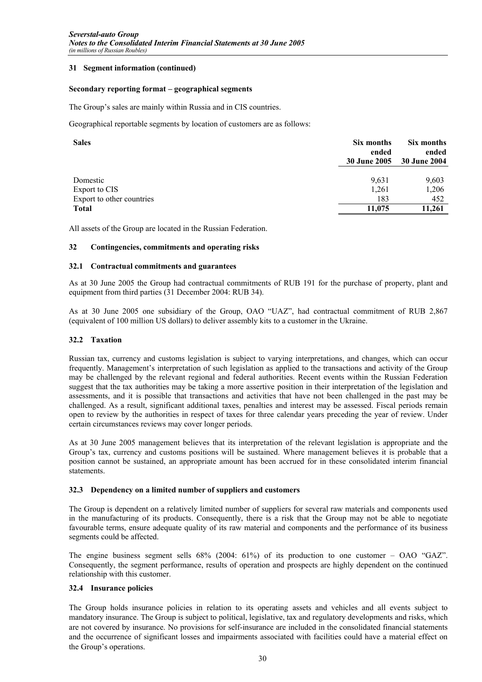## **31 Segment information (continued)**

## **Secondary reporting format – geographical segments**

The Group's sales are mainly within Russia and in CIS countries.

Geographical reportable segments by location of customers are as follows:

| <b>Sales</b>              | Six months<br>ended<br><b>30 June 2005</b> | Six months<br>ended<br>30 June 2004 |
|---------------------------|--------------------------------------------|-------------------------------------|
| Domestic                  | 9.631                                      | 9,603                               |
| Export to CIS             | 1,261                                      | 1,206                               |
| Export to other countries | 183                                        | 452                                 |
| <b>Total</b>              | 11,075                                     | 11,261                              |

All assets of the Group are located in the Russian Federation.

## **32 Contingencies, commitments and operating risks**

## **32.1 Contractual commitments and guarantees**

As at 30 June 2005 the Group had contractual commitments of RUB 191 for the purchase of property, plant and equipment from third parties (31 December 2004: RUB 34).

As at 30 June 2005 one subsidiary of the Group, OAO "UAZ", had contractual commitment of RUB 2,867 (equivalent of 100 million US dollars) to deliver assembly kits to a customer in the Ukraine.

## **32.2 Taxation**

Russian tax, currency and customs legislation is subject to varying interpretations, and changes, which can occur frequently. Management's interpretation of such legislation as applied to the transactions and activity of the Group may be challenged by the relevant regional and federal authorities. Recent events within the Russian Federation suggest that the tax authorities may be taking a more assertive position in their interpretation of the legislation and assessments, and it is possible that transactions and activities that have not been challenged in the past may be challenged. As a result, significant additional taxes, penalties and interest may be assessed. Fiscal periods remain open to review by the authorities in respect of taxes for three calendar years preceding the year of review. Under certain circumstances reviews may cover longer periods.

As at 30 June 2005 management believes that its interpretation of the relevant legislation is appropriate and the Group's tax, currency and customs positions will be sustained. Where management believes it is probable that a position cannot be sustained, an appropriate amount has been accrued for in these consolidated interim financial statements.

## **32.3 Dependency on a limited number of suppliers and customers**

The Group is dependent on a relatively limited number of suppliers for several raw materials and components used in the manufacturing of its products. Consequently, there is a risk that the Group may not be able to negotiate favourable terms, ensure adequate quality of its raw material and components and the performance of its business segments could be affected.

The engine business segment sells 68% (2004: 61%) of its production to one customer – OAO "GAZ". Consequently, the segment performance, results of operation and prospects are highly dependent on the continued relationship with this customer.

## **32.4 Insurance policies**

The Group holds insurance policies in relation to its operating assets and vehicles and all events subject to mandatory insurance. The Group is subject to political, legislative, tax and regulatory developments and risks, which are not covered by insurance. No provisions for self-insurance are included in the consolidated financial statements and the occurrence of significant losses and impairments associated with facilities could have a material effect on the Group's operations.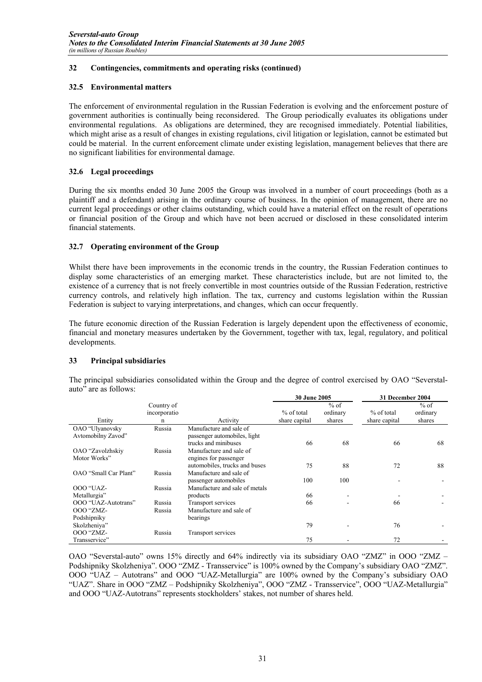# **32 Contingencies, commitments and operating risks (continued)**

# **32.5 Environmental matters**

The enforcement of environmental regulation in the Russian Federation is evolving and the enforcement posture of government authorities is continually being reconsidered. The Group periodically evaluates its obligations under environmental regulations. As obligations are determined, they are recognised immediately. Potential liabilities, which might arise as a result of changes in existing regulations, civil litigation or legislation, cannot be estimated but could be material. In the current enforcement climate under existing legislation, management believes that there are no significant liabilities for environmental damage.

# **32.6 Legal proceedings**

During the six months ended 30 June 2005 the Group was involved in a number of court proceedings (both as a plaintiff and a defendant) arising in the ordinary course of business. In the opinion of management, there are no current legal proceedings or other claims outstanding, which could have a material effect on the result of operations or financial position of the Group and which have not been accrued or disclosed in these consolidated interim financial statements.

# **32.7 Operating environment of the Group**

Whilst there have been improvements in the economic trends in the country, the Russian Federation continues to display some characteristics of an emerging market. These characteristics include, but are not limited to, the existence of a currency that is not freely convertible in most countries outside of the Russian Federation, restrictive currency controls, and relatively high inflation. The tax, currency and customs legislation within the Russian Federation is subject to varying interpretations, and changes, which can occur frequently.

The future economic direction of the Russian Federation is largely dependent upon the effectiveness of economic, financial and monetary measures undertaken by the Government, together with tax, legal, regulatory, and political developments.

# **33 Principal subsidiaries**

|                                  |                            |                                                        | JU JUNE 400J  |                    | эт песешвег 2004 |                    |
|----------------------------------|----------------------------|--------------------------------------------------------|---------------|--------------------|------------------|--------------------|
|                                  | Country of<br>incorporatio |                                                        | % of total    | $%$ of<br>ordinary | % of total       | $%$ of<br>ordinary |
| Entity                           | n                          | Activity                                               | share capital | shares             | share capital    | shares             |
| OAO "Ulyanovsky                  | Russia                     | Manufacture and sale of                                |               |                    |                  |                    |
| Avtomobilny Zavod"               |                            | passenger automobiles, light<br>trucks and minibuses   | 66            | 68                 | 66               | 68                 |
| OAO "Zavolzhskiy<br>Motor Works" | Russia                     | Manufacture and sale of                                |               |                    |                  |                    |
|                                  |                            | engines for passenger<br>automobiles, trucks and buses | 75            | 88                 | 72               | 88                 |
| OAO "Small Car Plant"            | Russia                     | Manufacture and sale of                                |               |                    |                  |                    |
|                                  |                            | passenger automobiles                                  | 100           | 100                |                  |                    |
| <b>OOO</b> "UAZ-                 | Russia                     | Manufacture and sale of metals                         |               |                    |                  |                    |
| Metallurgia"                     |                            | products                                               | 66            |                    |                  |                    |
| OOO "UAZ-Autotrans"              | Russia                     | Transport services                                     | 66            |                    | 66               |                    |
| <b>OOO</b> "ZMZ-                 | Russia                     | Manufacture and sale of                                |               |                    |                  |                    |
| Podshipniky                      |                            | bearings                                               |               |                    |                  |                    |
| Skolzheniya"                     |                            |                                                        | 79            |                    | 76               |                    |
| <b>OOO</b> "ZMZ-                 | Russia                     | Transport services                                     |               |                    |                  |                    |
| Transservice"                    |                            |                                                        | 75            |                    | 72               |                    |

The principal subsidiaries consolidated within the Group and the degree of control exercised by OAO "Severstalauto" are as follows: **30 June 2005 31 December 2004**

OAO "Severstal-auto" owns 15% directly and 64% indirectly via its subsidiary OAO "ZMZ" in OOO "ZMZ – Podshipniky Skolzheniya". OOO "ZMZ - Transservice" is 100% owned by the Company's subsidiary OAO "ZMZ". OOO "UAZ – Autotrans" and OOO "UAZ-Metallurgia" are 100% owned by the Company's subsidiary OAO "UAZ". Share in OOO "ZMZ – Podshipniky Skolzheniya", OOO "ZMZ - Transservice", OOO "UAZ-Metallurgia" and OOO "UAZ-Autotrans" represents stockholders' stakes, not number of shares held.